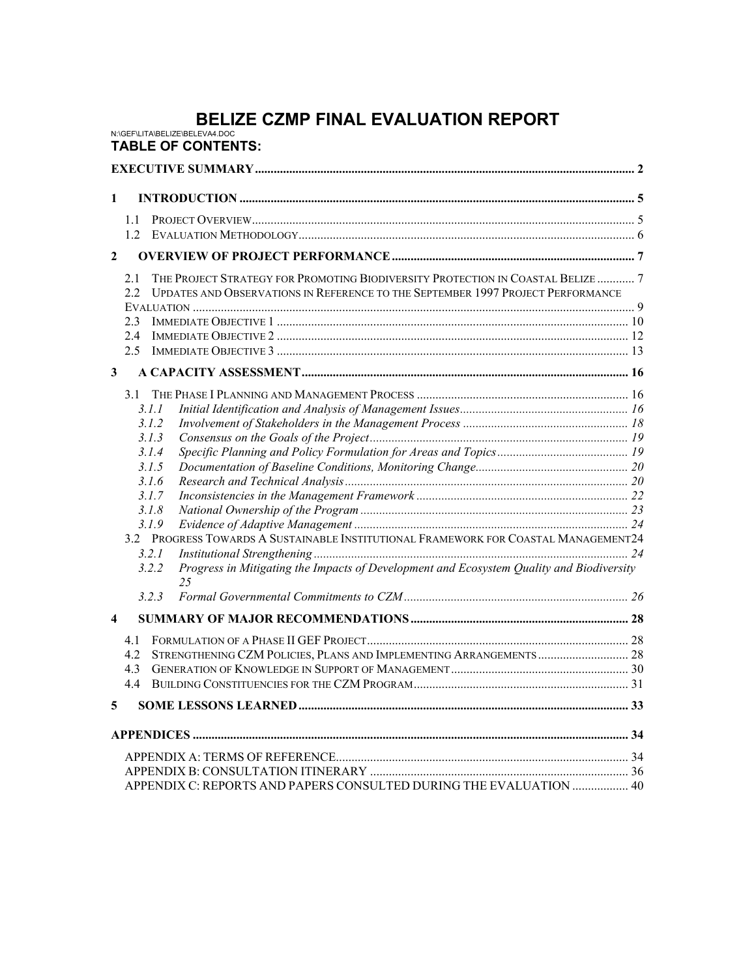# **BELIZE CZMP FINAL EVALUATION REPORT**<br>N:\GEF\LITA\BELIZE\BELEVA4.DOC

**TABLE OF CONTENTS:**

| $\mathbf{1}$            |                                 |                                                                                                                                                                                                                                                                                                   |  |  |  |
|-------------------------|---------------------------------|---------------------------------------------------------------------------------------------------------------------------------------------------------------------------------------------------------------------------------------------------------------------------------------------------|--|--|--|
| $\mathbf{2}$            | 1.1<br>1.2.                     |                                                                                                                                                                                                                                                                                                   |  |  |  |
|                         | 2.1<br>2.2<br>2.3<br>2.4<br>2.5 | THE PROJECT STRATEGY FOR PROMOTING BIODIVERSITY PROTECTION IN COASTAL BELIZE  7<br>UPDATES AND OBSERVATIONS IN REFERENCE TO THE SEPTEMBER 1997 PROJECT PERFORMANCE                                                                                                                                |  |  |  |
| 3                       |                                 |                                                                                                                                                                                                                                                                                                   |  |  |  |
|                         | 3.1                             | 3.1.1<br>3.1.2<br>3.1.3<br>3.1.4<br>3.1.5<br>3.1.6<br>3.1.7<br>3.1.8<br>3.1.9<br>3.2 PROGRESS TOWARDS A SUSTAINABLE INSTITUTIONAL FRAMEWORK FOR COASTAL MANAGEMENT24<br>3.2.1<br>Progress in Mitigating the Impacts of Development and Ecosystem Quality and Biodiversity<br>3.2.2<br>25<br>3.2.3 |  |  |  |
| $\overline{\mathbf{4}}$ |                                 |                                                                                                                                                                                                                                                                                                   |  |  |  |
|                         | 4.1<br>4.2<br>4.3<br>44         |                                                                                                                                                                                                                                                                                                   |  |  |  |
| 5                       |                                 |                                                                                                                                                                                                                                                                                                   |  |  |  |
|                         |                                 | APPENDIX C: REPORTS AND PAPERS CONSULTED DURING THE EVALUATION  40                                                                                                                                                                                                                                |  |  |  |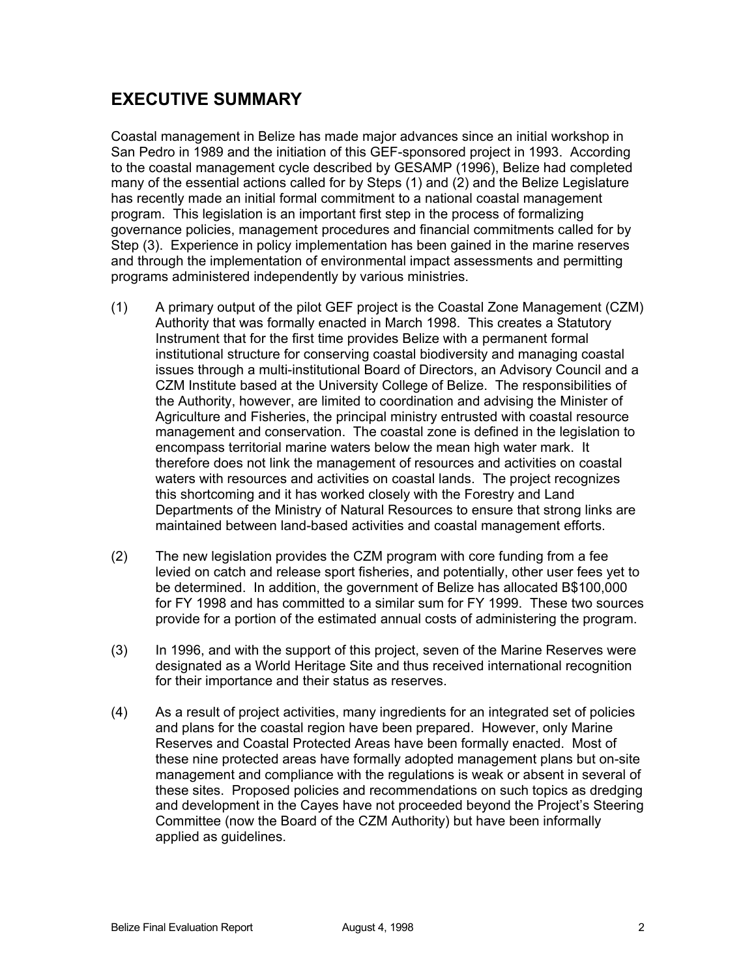# **EXECUTIVE SUMMARY**

Coastal management in Belize has made major advances since an initial workshop in San Pedro in 1989 and the initiation of this GEF-sponsored project in 1993. According to the coastal management cycle described by GESAMP (1996), Belize had completed many of the essential actions called for by Steps (1) and (2) and the Belize Legislature has recently made an initial formal commitment to a national coastal management program. This legislation is an important first step in the process of formalizing governance policies, management procedures and financial commitments called for by Step (3). Experience in policy implementation has been gained in the marine reserves and through the implementation of environmental impact assessments and permitting programs administered independently by various ministries.

- (1) A primary output of the pilot GEF project is the Coastal Zone Management (CZM) Authority that was formally enacted in March 1998. This creates a Statutory Instrument that for the first time provides Belize with a permanent formal institutional structure for conserving coastal biodiversity and managing coastal issues through a multi-institutional Board of Directors, an Advisory Council and a CZM Institute based at the University College of Belize. The responsibilities of the Authority, however, are limited to coordination and advising the Minister of Agriculture and Fisheries, the principal ministry entrusted with coastal resource management and conservation. The coastal zone is defined in the legislation to encompass territorial marine waters below the mean high water mark. It therefore does not link the management of resources and activities on coastal waters with resources and activities on coastal lands. The project recognizes this shortcoming and it has worked closely with the Forestry and Land Departments of the Ministry of Natural Resources to ensure that strong links are maintained between land-based activities and coastal management efforts.
- (2) The new legislation provides the CZM program with core funding from a fee levied on catch and release sport fisheries, and potentially, other user fees yet to be determined. In addition, the government of Belize has allocated B\$100,000 for FY 1998 and has committed to a similar sum for FY 1999. These two sources provide for a portion of the estimated annual costs of administering the program.
- (3) In 1996, and with the support of this project, seven of the Marine Reserves were designated as a World Heritage Site and thus received international recognition for their importance and their status as reserves.
- (4) As a result of project activities, many ingredients for an integrated set of policies and plans for the coastal region have been prepared. However, only Marine Reserves and Coastal Protected Areas have been formally enacted. Most of these nine protected areas have formally adopted management plans but on-site management and compliance with the regulations is weak or absent in several of these sites. Proposed policies and recommendations on such topics as dredging and development in the Cayes have not proceeded beyond the Project's Steering Committee (now the Board of the CZM Authority) but have been informally applied as guidelines.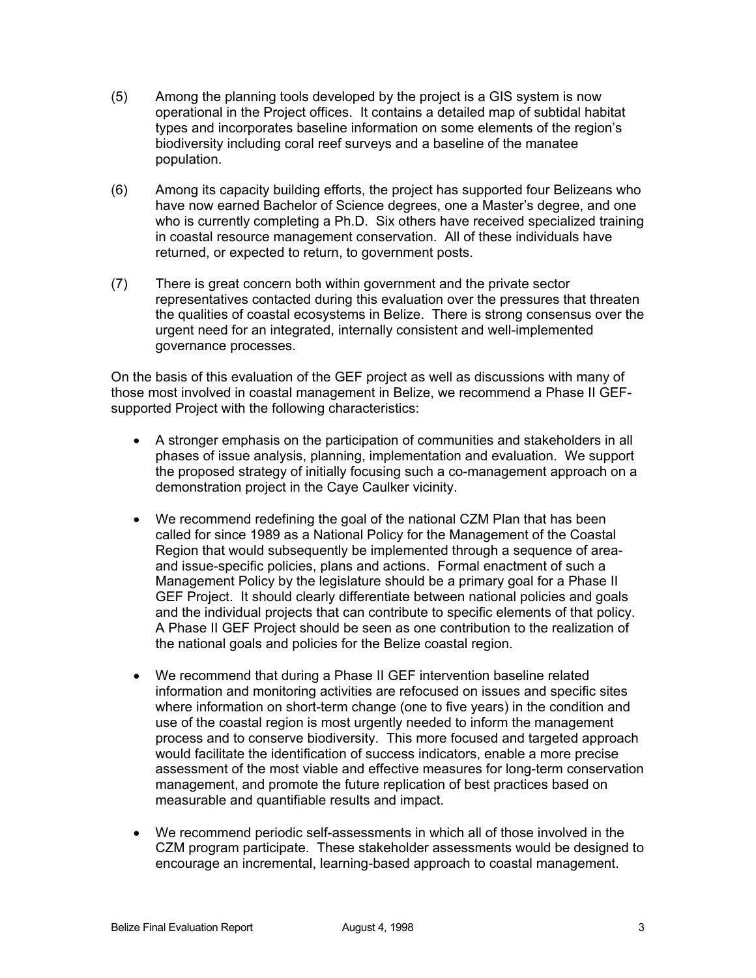- (5) Among the planning tools developed by the project is a GIS system is now operational in the Project offices. It contains a detailed map of subtidal habitat types and incorporates baseline information on some elements of the region's biodiversity including coral reef surveys and a baseline of the manatee population.
- (6) Among its capacity building efforts, the project has supported four Belizeans who have now earned Bachelor of Science degrees, one a Master's degree, and one who is currently completing a Ph.D. Six others have received specialized training in coastal resource management conservation. All of these individuals have returned, or expected to return, to government posts.
- (7) There is great concern both within government and the private sector representatives contacted during this evaluation over the pressures that threaten the qualities of coastal ecosystems in Belize. There is strong consensus over the urgent need for an integrated, internally consistent and well-implemented governance processes.

On the basis of this evaluation of the GEF project as well as discussions with many of those most involved in coastal management in Belize, we recommend a Phase II GEFsupported Project with the following characteristics:

- A stronger emphasis on the participation of communities and stakeholders in all phases of issue analysis, planning, implementation and evaluation. We support the proposed strategy of initially focusing such a co-management approach on a demonstration project in the Caye Caulker vicinity.
- We recommend redefining the goal of the national CZM Plan that has been called for since 1989 as a National Policy for the Management of the Coastal Region that would subsequently be implemented through a sequence of areaand issue-specific policies, plans and actions. Formal enactment of such a Management Policy by the legislature should be a primary goal for a Phase II GEF Project. It should clearly differentiate between national policies and goals and the individual projects that can contribute to specific elements of that policy. A Phase II GEF Project should be seen as one contribution to the realization of the national goals and policies for the Belize coastal region.
- We recommend that during a Phase II GEF intervention baseline related information and monitoring activities are refocused on issues and specific sites where information on short-term change (one to five years) in the condition and use of the coastal region is most urgently needed to inform the management process and to conserve biodiversity. This more focused and targeted approach would facilitate the identification of success indicators, enable a more precise assessment of the most viable and effective measures for long-term conservation management, and promote the future replication of best practices based on measurable and quantifiable results and impact.
- We recommend periodic self-assessments in which all of those involved in the CZM program participate. These stakeholder assessments would be designed to encourage an incremental, learning-based approach to coastal management.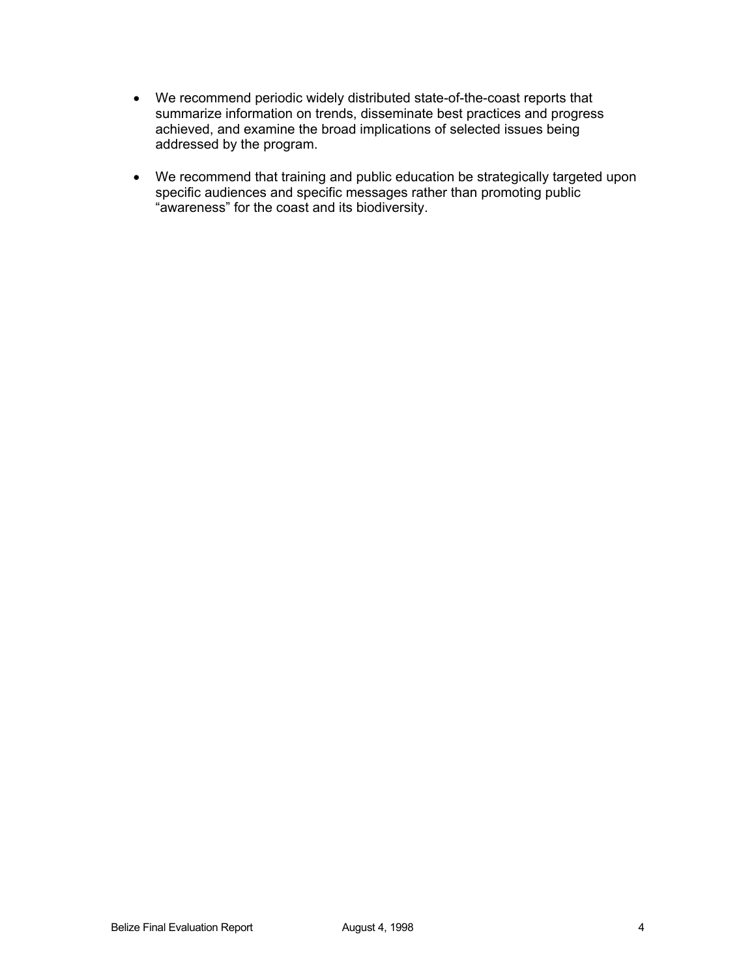- We recommend periodic widely distributed state-of-the-coast reports that summarize information on trends, disseminate best practices and progress achieved, and examine the broad implications of selected issues being addressed by the program.
- We recommend that training and public education be strategically targeted upon specific audiences and specific messages rather than promoting public "awareness" for the coast and its biodiversity.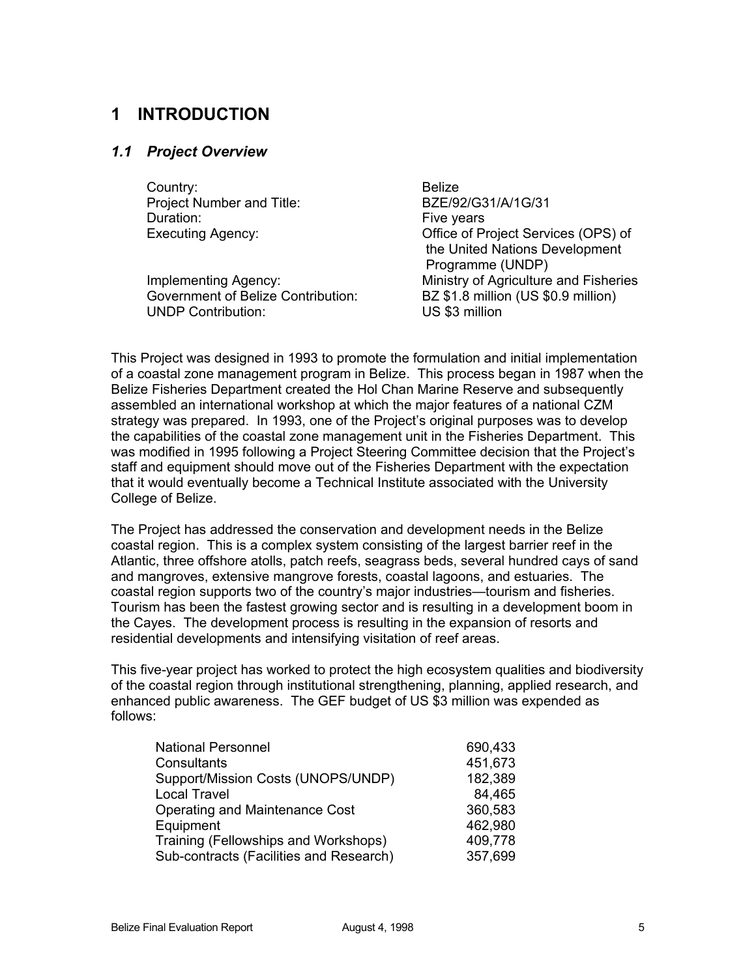# **1 INTRODUCTION**

### *1.1 Project Overview*

Country: Belize Project Number and Title: BZE/92/G31/A/1G/31 Duration: The Vears of the Vears of the Vears of the Vears of the Vears of the Vears of the Vears of the Vears

Government of Belize Contribution: BZ \$1.8 million (US \$0.9 million)<br>UNDP Contribution: US \$3 million UNDP Contribution:

Executing Agency: Office of Project Services (OPS) of the United Nations Development Programme (UNDP) Implementing Agency: Ministry of Agriculture and Fisheries

This Project was designed in 1993 to promote the formulation and initial implementation of a coastal zone management program in Belize. This process began in 1987 when the Belize Fisheries Department created the Hol Chan Marine Reserve and subsequently assembled an international workshop at which the major features of a national CZM strategy was prepared. In 1993, one of the Project's original purposes was to develop the capabilities of the coastal zone management unit in the Fisheries Department. This was modified in 1995 following a Project Steering Committee decision that the Project's staff and equipment should move out of the Fisheries Department with the expectation that it would eventually become a Technical Institute associated with the University College of Belize.

The Project has addressed the conservation and development needs in the Belize coastal region. This is a complex system consisting of the largest barrier reef in the Atlantic, three offshore atolls, patch reefs, seagrass beds, several hundred cays of sand and mangroves, extensive mangrove forests, coastal lagoons, and estuaries. The coastal region supports two of the country's major industries—tourism and fisheries. Tourism has been the fastest growing sector and is resulting in a development boom in the Cayes. The development process is resulting in the expansion of resorts and residential developments and intensifying visitation of reef areas.

This five-year project has worked to protect the high ecosystem qualities and biodiversity of the coastal region through institutional strengthening, planning, applied research, and enhanced public awareness. The GEF budget of US \$3 million was expended as follows:

| <b>National Personnel</b>               | 690,433 |
|-----------------------------------------|---------|
| Consultants                             | 451,673 |
| Support/Mission Costs (UNOPS/UNDP)      | 182,389 |
| <b>Local Travel</b>                     | 84,465  |
| <b>Operating and Maintenance Cost</b>   | 360,583 |
| Equipment                               | 462,980 |
| Training (Fellowships and Workshops)    | 409,778 |
| Sub-contracts (Facilities and Research) | 357,699 |
|                                         |         |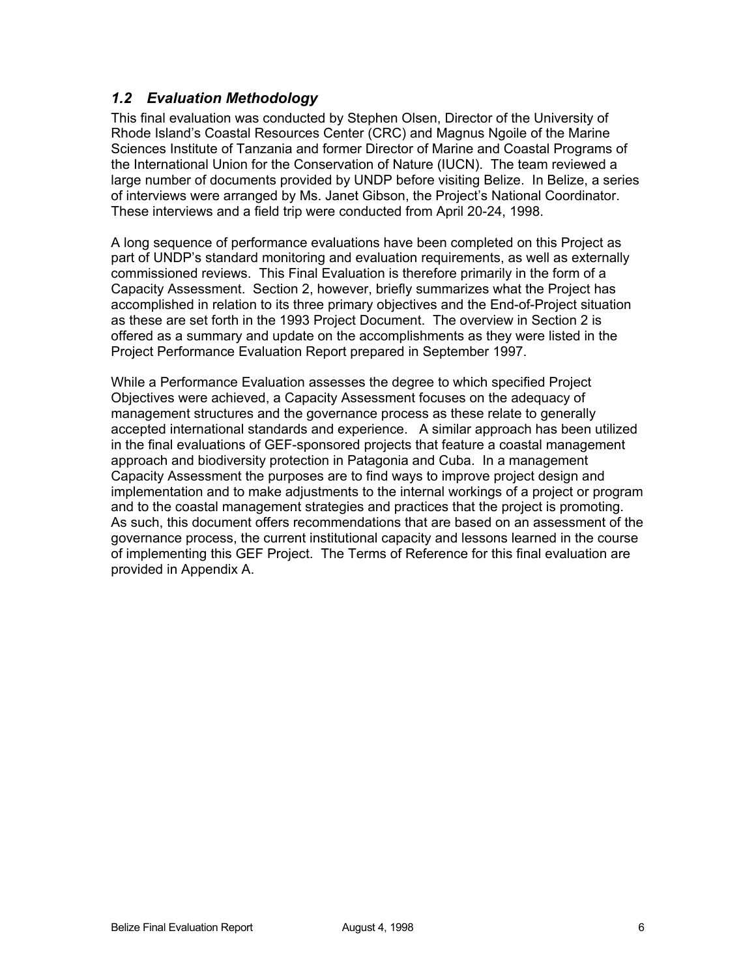# *1.2 Evaluation Methodology*

This final evaluation was conducted by Stephen Olsen, Director of the University of Rhode Island's Coastal Resources Center (CRC) and Magnus Ngoile of the Marine Sciences Institute of Tanzania and former Director of Marine and Coastal Programs of the International Union for the Conservation of Nature (IUCN). The team reviewed a large number of documents provided by UNDP before visiting Belize. In Belize, a series of interviews were arranged by Ms. Janet Gibson, the Project's National Coordinator. These interviews and a field trip were conducted from April 20-24, 1998.

A long sequence of performance evaluations have been completed on this Project as part of UNDP's standard monitoring and evaluation requirements, as well as externally commissioned reviews. This Final Evaluation is therefore primarily in the form of a Capacity Assessment. Section 2, however, briefly summarizes what the Project has accomplished in relation to its three primary objectives and the End-of-Project situation as these are set forth in the 1993 Project Document. The overview in Section 2 is offered as a summary and update on the accomplishments as they were listed in the Project Performance Evaluation Report prepared in September 1997.

While a Performance Evaluation assesses the degree to which specified Project Objectives were achieved, a Capacity Assessment focuses on the adequacy of management structures and the governance process as these relate to generally accepted international standards and experience. A similar approach has been utilized in the final evaluations of GEF-sponsored projects that feature a coastal management approach and biodiversity protection in Patagonia and Cuba. In a management Capacity Assessment the purposes are to find ways to improve project design and implementation and to make adjustments to the internal workings of a project or program and to the coastal management strategies and practices that the project is promoting. As such, this document offers recommendations that are based on an assessment of the governance process, the current institutional capacity and lessons learned in the course of implementing this GEF Project. The Terms of Reference for this final evaluation are provided in Appendix A.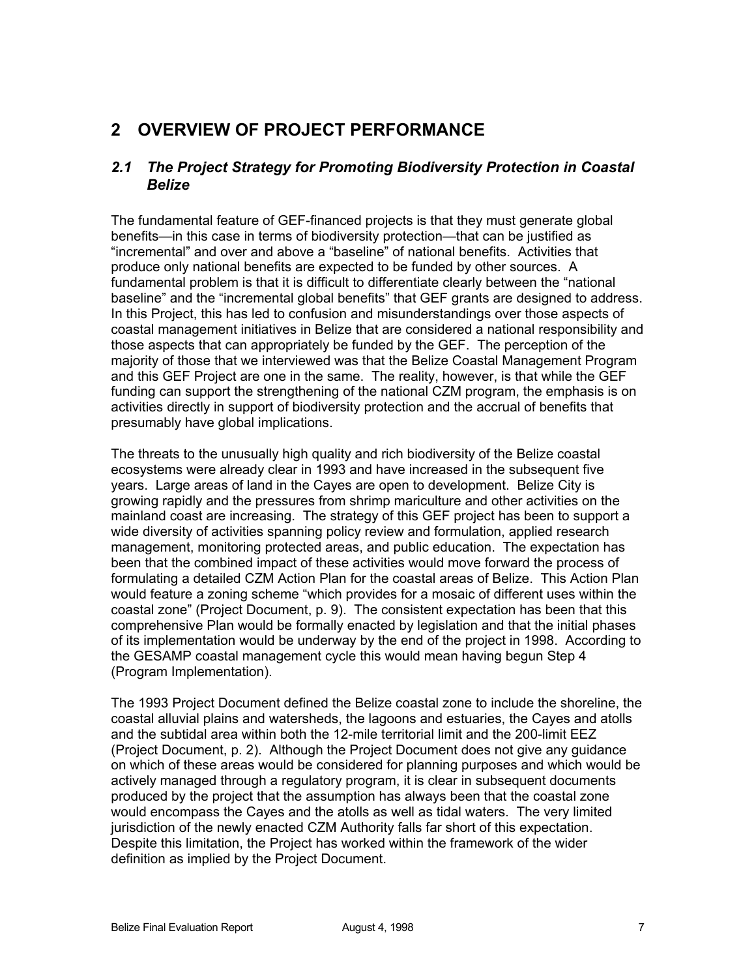# **2 OVERVIEW OF PROJECT PERFORMANCE**

# *2.1 The Project Strategy for Promoting Biodiversity Protection in Coastal Belize*

The fundamental feature of GEF-financed projects is that they must generate global benefits—in this case in terms of biodiversity protection—that can be justified as "incremental" and over and above a "baseline" of national benefits. Activities that produce only national benefits are expected to be funded by other sources. A fundamental problem is that it is difficult to differentiate clearly between the "national baseline" and the "incremental global benefits" that GEF grants are designed to address. In this Project, this has led to confusion and misunderstandings over those aspects of coastal management initiatives in Belize that are considered a national responsibility and those aspects that can appropriately be funded by the GEF. The perception of the majority of those that we interviewed was that the Belize Coastal Management Program and this GEF Project are one in the same. The reality, however, is that while the GEF funding can support the strengthening of the national CZM program, the emphasis is on activities directly in support of biodiversity protection and the accrual of benefits that presumably have global implications.

The threats to the unusually high quality and rich biodiversity of the Belize coastal ecosystems were already clear in 1993 and have increased in the subsequent five years. Large areas of land in the Cayes are open to development. Belize City is growing rapidly and the pressures from shrimp mariculture and other activities on the mainland coast are increasing. The strategy of this GEF project has been to support a wide diversity of activities spanning policy review and formulation, applied research management, monitoring protected areas, and public education. The expectation has been that the combined impact of these activities would move forward the process of formulating a detailed CZM Action Plan for the coastal areas of Belize. This Action Plan would feature a zoning scheme "which provides for a mosaic of different uses within the coastal zone" (Project Document, p. 9). The consistent expectation has been that this comprehensive Plan would be formally enacted by legislation and that the initial phases of its implementation would be underway by the end of the project in 1998. According to the GESAMP coastal management cycle this would mean having begun Step 4 (Program Implementation).

The 1993 Project Document defined the Belize coastal zone to include the shoreline, the coastal alluvial plains and watersheds, the lagoons and estuaries, the Cayes and atolls and the subtidal area within both the 12-mile territorial limit and the 200-limit EEZ (Project Document, p. 2). Although the Project Document does not give any guidance on which of these areas would be considered for planning purposes and which would be actively managed through a regulatory program, it is clear in subsequent documents produced by the project that the assumption has always been that the coastal zone would encompass the Cayes and the atolls as well as tidal waters. The very limited jurisdiction of the newly enacted CZM Authority falls far short of this expectation. Despite this limitation, the Project has worked within the framework of the wider definition as implied by the Project Document.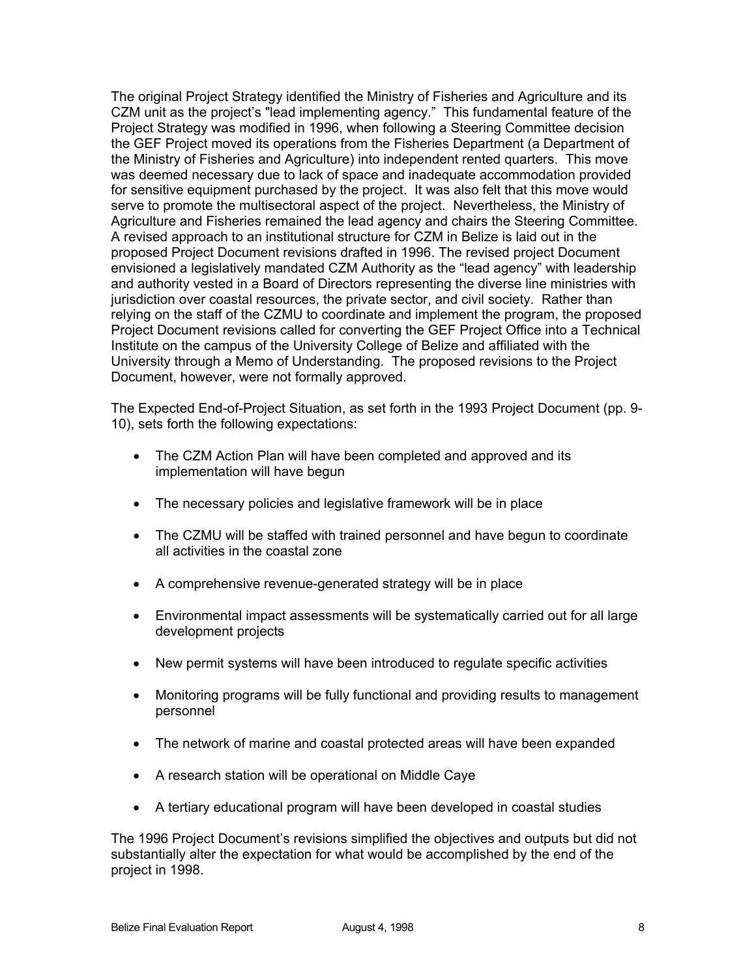The original Project Strategy identified the Ministry of Fisheries and Agriculture and its CZM unit as the project's "lead implementing agency." This fundamental feature of the Project Strategy was modified in 1996, when following a Steering Committee decision the GEF Project moved its operations from the Fisheries Department (a Department of the Ministry of Fisheries and Agriculture) into independent rented quarters. This move was deemed necessary due to lack of space and inadequate accommodation provided for sensitive equipment purchased by the project. It was also felt that this move would serve to promote the multisectoral aspect of the project. Nevertheless, the Ministry of Agriculture and Fisheries remained the lead agency and chairs the Steering Committee. A revised approach to an institutional structure for CZM in Belize is laid out in the proposed Project Document revisions drafted in 1996. The revised project Document envisioned a legislatively mandated CZM Authority as the "lead agency" with leadership and authority vested in a Board of Directors representing the diverse line ministries with jurisdiction over coastal resources, the private sector, and civil society. Rather than relying on the staff of the CZMU to coordinate and implement the program, the proposed Project Document revisions called for converting the GEF Project Office into a Technical Institute on the campus of the University College of Belize and affiliated with the University through a Memo of Understanding. The proposed revisions to the Project Document, however, were not formally approved.

The Expected End-of-Project Situation, as set forth in the 1993 Project Document (pp. 9- 10), sets forth the following expectations:

- The CZM Action Plan will have been completed and approved and its implementation will have begun
- The necessary policies and legislative framework will be in place
- The CZMU will be staffed with trained personnel and have begun to coordinate all activities in the coastal zone
- A comprehensive revenue-generated strategy will be in place
- Environmental impact assessments will be systematically carried out for all large development projects
- New permit systems will have been introduced to regulate specific activities
- Monitoring programs will be fully functional and providing results to management personnel
- The network of marine and coastal protected areas will have been expanded
- A research station will be operational on Middle Caye
- A tertiary educational program will have been developed in coastal studies

The 1996 Project Document's revisions simplified the objectives and outputs but did not substantially alter the expectation for what would be accomplished by the end of the project in 1998.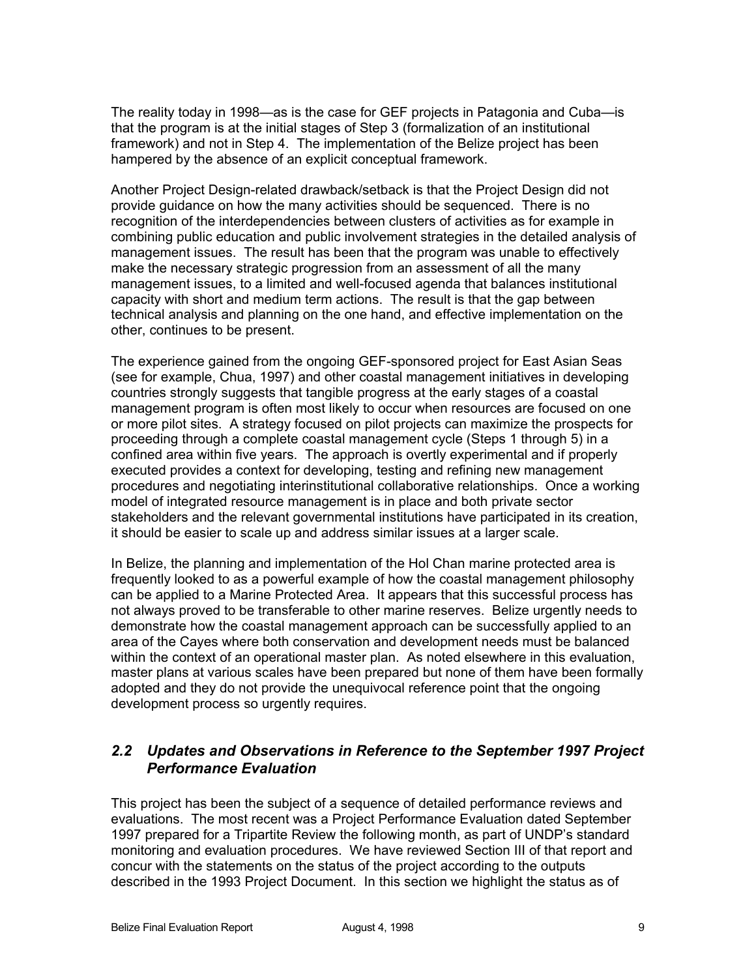The reality today in 1998—as is the case for GEF projects in Patagonia and Cuba—is that the program is at the initial stages of Step 3 (formalization of an institutional framework) and not in Step 4. The implementation of the Belize project has been hampered by the absence of an explicit conceptual framework.

Another Project Design-related drawback/setback is that the Project Design did not provide guidance on how the many activities should be sequenced. There is no recognition of the interdependencies between clusters of activities as for example in combining public education and public involvement strategies in the detailed analysis of management issues. The result has been that the program was unable to effectively make the necessary strategic progression from an assessment of all the many management issues, to a limited and well-focused agenda that balances institutional capacity with short and medium term actions. The result is that the gap between technical analysis and planning on the one hand, and effective implementation on the other, continues to be present.

The experience gained from the ongoing GEF-sponsored project for East Asian Seas (see for example, Chua, 1997) and other coastal management initiatives in developing countries strongly suggests that tangible progress at the early stages of a coastal management program is often most likely to occur when resources are focused on one or more pilot sites. A strategy focused on pilot projects can maximize the prospects for proceeding through a complete coastal management cycle (Steps 1 through 5) in a confined area within five years. The approach is overtly experimental and if properly executed provides a context for developing, testing and refining new management procedures and negotiating interinstitutional collaborative relationships. Once a working model of integrated resource management is in place and both private sector stakeholders and the relevant governmental institutions have participated in its creation, it should be easier to scale up and address similar issues at a larger scale.

In Belize, the planning and implementation of the Hol Chan marine protected area is frequently looked to as a powerful example of how the coastal management philosophy can be applied to a Marine Protected Area. It appears that this successful process has not always proved to be transferable to other marine reserves. Belize urgently needs to demonstrate how the coastal management approach can be successfully applied to an area of the Cayes where both conservation and development needs must be balanced within the context of an operational master plan. As noted elsewhere in this evaluation, master plans at various scales have been prepared but none of them have been formally adopted and they do not provide the unequivocal reference point that the ongoing development process so urgently requires.

# *2.2 Updates and Observations in Reference to the September 1997 Project Performance Evaluation*

This project has been the subject of a sequence of detailed performance reviews and evaluations. The most recent was a Project Performance Evaluation dated September 1997 prepared for a Tripartite Review the following month, as part of UNDP's standard monitoring and evaluation procedures. We have reviewed Section III of that report and concur with the statements on the status of the project according to the outputs described in the 1993 Project Document. In this section we highlight the status as of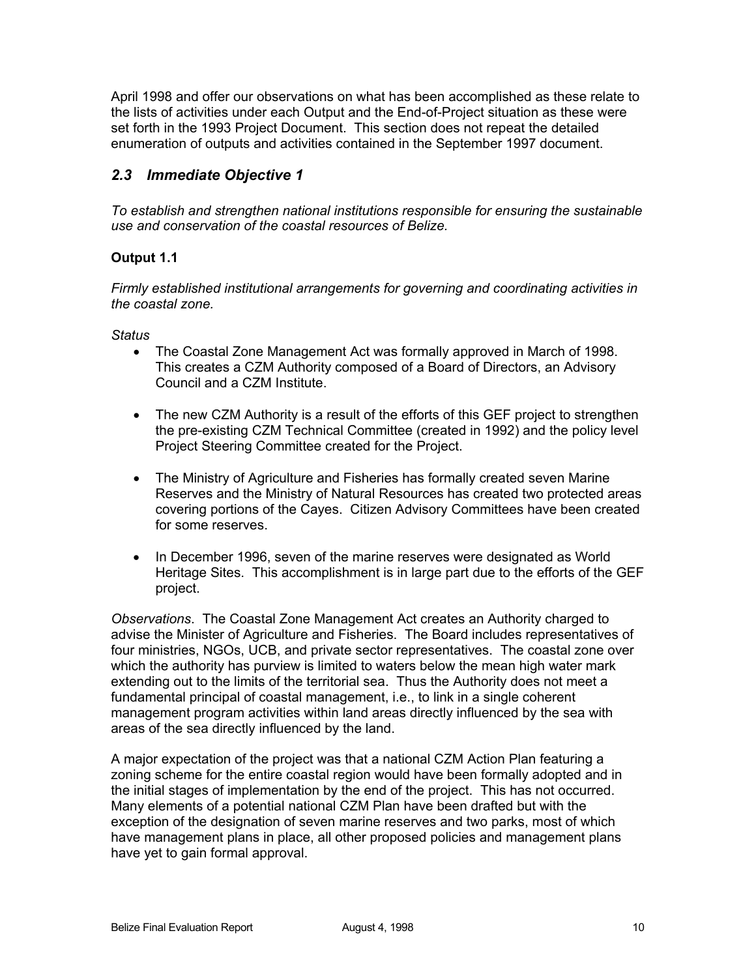April 1998 and offer our observations on what has been accomplished as these relate to the lists of activities under each Output and the End-of-Project situation as these were set forth in the 1993 Project Document. This section does not repeat the detailed enumeration of outputs and activities contained in the September 1997 document.

# *2.3 Immediate Objective 1*

*To establish and strengthen national institutions responsible for ensuring the sustainable use and conservation of the coastal resources of Belize.*

### **Output 1.1**

*Firmly established institutional arrangements for governing and coordinating activities in the coastal zone.* 

*Status*

- The Coastal Zone Management Act was formally approved in March of 1998. This creates a CZM Authority composed of a Board of Directors, an Advisory Council and a CZM Institute.
- The new CZM Authority is a result of the efforts of this GEF project to strengthen the pre-existing CZM Technical Committee (created in 1992) and the policy level Project Steering Committee created for the Project.
- The Ministry of Agriculture and Fisheries has formally created seven Marine Reserves and the Ministry of Natural Resources has created two protected areas covering portions of the Cayes. Citizen Advisory Committees have been created for some reserves.
- In December 1996, seven of the marine reserves were designated as World Heritage Sites. This accomplishment is in large part due to the efforts of the GEF project.

*Observations*. The Coastal Zone Management Act creates an Authority charged to advise the Minister of Agriculture and Fisheries. The Board includes representatives of four ministries, NGOs, UCB, and private sector representatives. The coastal zone over which the authority has purview is limited to waters below the mean high water mark extending out to the limits of the territorial sea. Thus the Authority does not meet a fundamental principal of coastal management, i.e., to link in a single coherent management program activities within land areas directly influenced by the sea with areas of the sea directly influenced by the land.

A major expectation of the project was that a national CZM Action Plan featuring a zoning scheme for the entire coastal region would have been formally adopted and in the initial stages of implementation by the end of the project. This has not occurred. Many elements of a potential national CZM Plan have been drafted but with the exception of the designation of seven marine reserves and two parks, most of which have management plans in place, all other proposed policies and management plans have yet to gain formal approval.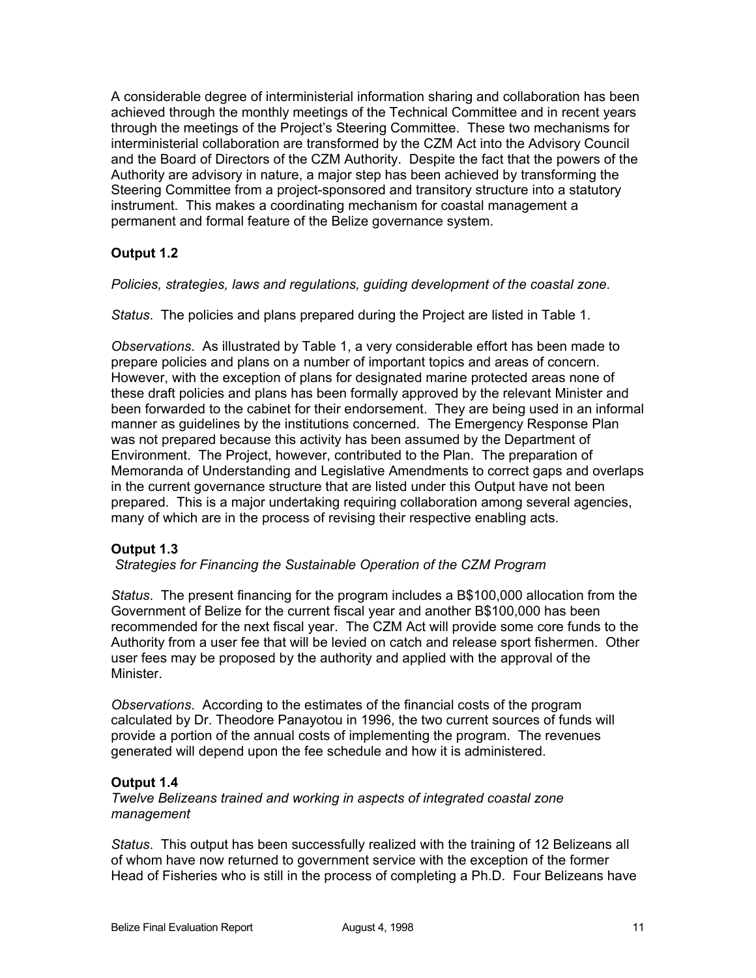A considerable degree of interministerial information sharing and collaboration has been achieved through the monthly meetings of the Technical Committee and in recent years through the meetings of the Project's Steering Committee. These two mechanisms for interministerial collaboration are transformed by the CZM Act into the Advisory Council and the Board of Directors of the CZM Authority. Despite the fact that the powers of the Authority are advisory in nature, a major step has been achieved by transforming the Steering Committee from a project-sponsored and transitory structure into a statutory instrument. This makes a coordinating mechanism for coastal management a permanent and formal feature of the Belize governance system.

# **Output 1.2**

*Policies, strategies, laws and regulations, guiding development of the coastal zone.*

*Status*. The policies and plans prepared during the Project are listed in Table 1.

*Observations*. As illustrated by Table 1, a very considerable effort has been made to prepare policies and plans on a number of important topics and areas of concern. However, with the exception of plans for designated marine protected areas none of these draft policies and plans has been formally approved by the relevant Minister and been forwarded to the cabinet for their endorsement. They are being used in an informal manner as guidelines by the institutions concerned. The Emergency Response Plan was not prepared because this activity has been assumed by the Department of Environment. The Project, however, contributed to the Plan. The preparation of Memoranda of Understanding and Legislative Amendments to correct gaps and overlaps in the current governance structure that are listed under this Output have not been prepared. This is a major undertaking requiring collaboration among several agencies, many of which are in the process of revising their respective enabling acts.

### **Output 1.3**

*Strategies for Financing the Sustainable Operation of the CZM Program* 

*Status*. The present financing for the program includes a B\$100,000 allocation from the Government of Belize for the current fiscal year and another B\$100,000 has been recommended for the next fiscal year. The CZM Act will provide some core funds to the Authority from a user fee that will be levied on catch and release sport fishermen. Other user fees may be proposed by the authority and applied with the approval of the **Minister** 

*Observations*. According to the estimates of the financial costs of the program calculated by Dr. Theodore Panayotou in 1996, the two current sources of funds will provide a portion of the annual costs of implementing the program. The revenues generated will depend upon the fee schedule and how it is administered.

### **Output 1.4**

*Twelve Belizeans trained and working in aspects of integrated coastal zone management*

*Status*. This output has been successfully realized with the training of 12 Belizeans all of whom have now returned to government service with the exception of the former Head of Fisheries who is still in the process of completing a Ph.D. Four Belizeans have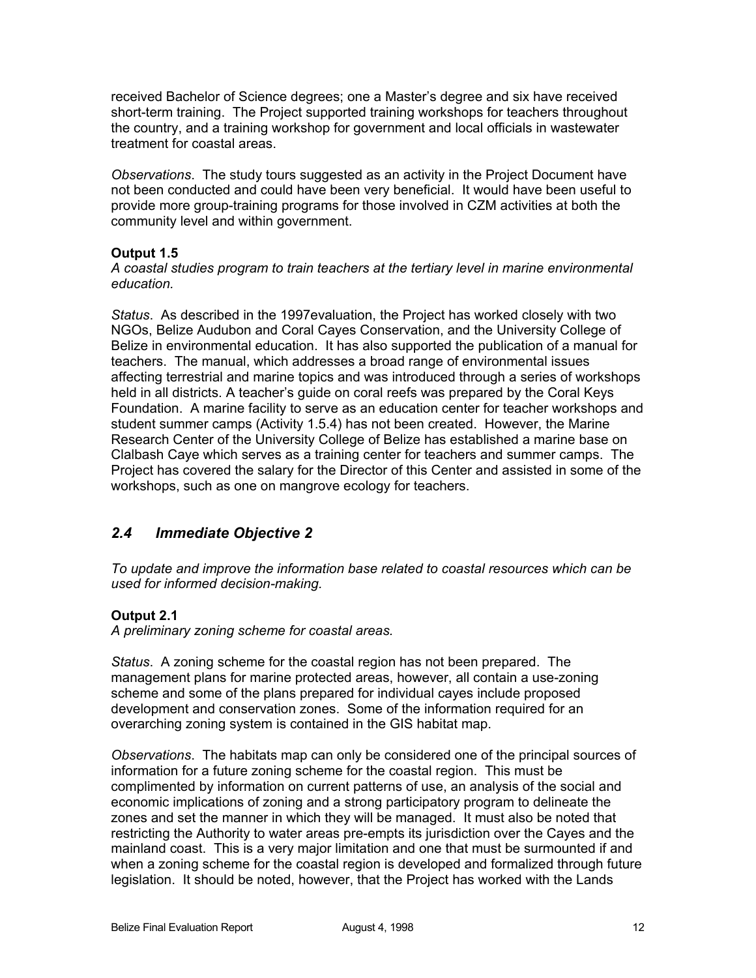received Bachelor of Science degrees; one a Master's degree and six have received short-term training. The Project supported training workshops for teachers throughout the country, and a training workshop for government and local officials in wastewater treatment for coastal areas.

*Observations*. The study tours suggested as an activity in the Project Document have not been conducted and could have been very beneficial. It would have been useful to provide more group-training programs for those involved in CZM activities at both the community level and within government.

#### **Output 1.5**

*A coastal studies program to train teachers at the tertiary level in marine environmental education.*

*Status*. As described in the 1997evaluation, the Project has worked closely with two NGOs, Belize Audubon and Coral Cayes Conservation, and the University College of Belize in environmental education. It has also supported the publication of a manual for teachers. The manual, which addresses a broad range of environmental issues affecting terrestrial and marine topics and was introduced through a series of workshops held in all districts. A teacher's guide on coral reefs was prepared by the Coral Keys Foundation. A marine facility to serve as an education center for teacher workshops and student summer camps (Activity 1.5.4) has not been created. However, the Marine Research Center of the University College of Belize has established a marine base on Clalbash Caye which serves as a training center for teachers and summer camps. The Project has covered the salary for the Director of this Center and assisted in some of the workshops, such as one on mangrove ecology for teachers.

# *2.4 Immediate Objective 2*

*To update and improve the information base related to coastal resources which can be used for informed decision-making.*

#### **Output 2.1**

*A preliminary zoning scheme for coastal areas.*

*Status*. A zoning scheme for the coastal region has not been prepared. The management plans for marine protected areas, however, all contain a use-zoning scheme and some of the plans prepared for individual cayes include proposed development and conservation zones. Some of the information required for an overarching zoning system is contained in the GIS habitat map.

*Observations*. The habitats map can only be considered one of the principal sources of information for a future zoning scheme for the coastal region. This must be complimented by information on current patterns of use, an analysis of the social and economic implications of zoning and a strong participatory program to delineate the zones and set the manner in which they will be managed. It must also be noted that restricting the Authority to water areas pre-empts its jurisdiction over the Cayes and the mainland coast. This is a very major limitation and one that must be surmounted if and when a zoning scheme for the coastal region is developed and formalized through future legislation. It should be noted, however, that the Project has worked with the Lands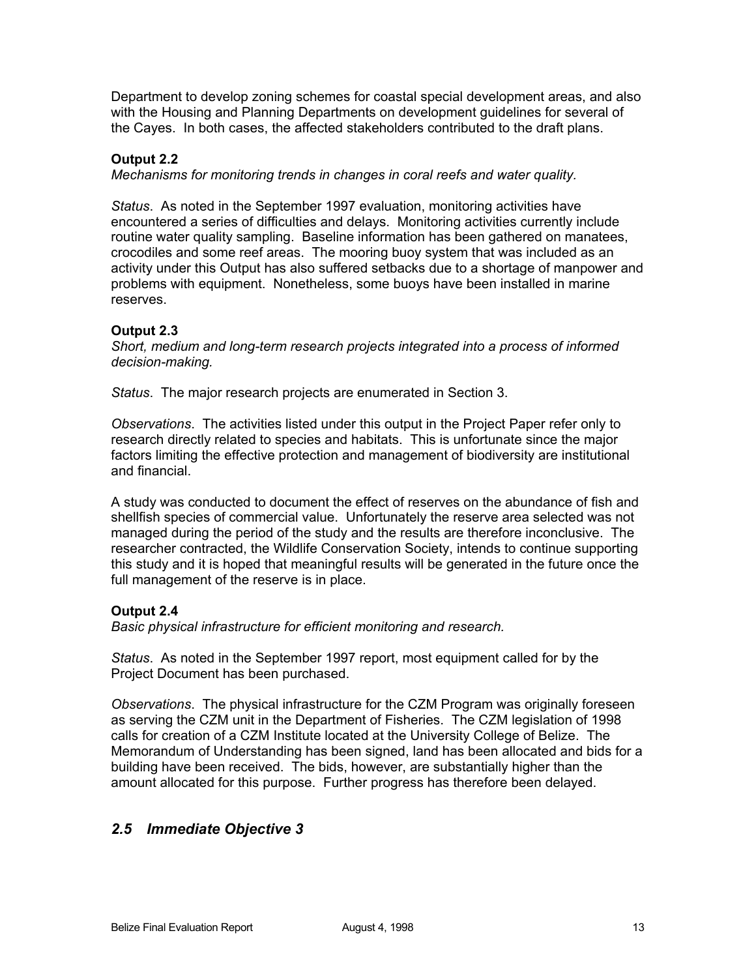Department to develop zoning schemes for coastal special development areas, and also with the Housing and Planning Departments on development guidelines for several of the Cayes. In both cases, the affected stakeholders contributed to the draft plans.

#### **Output 2.2**

*Mechanisms for monitoring trends in changes in coral reefs and water quality.*

*Status*. As noted in the September 1997 evaluation, monitoring activities have encountered a series of difficulties and delays. Monitoring activities currently include routine water quality sampling. Baseline information has been gathered on manatees, crocodiles and some reef areas. The mooring buoy system that was included as an activity under this Output has also suffered setbacks due to a shortage of manpower and problems with equipment. Nonetheless, some buoys have been installed in marine reserves.

#### **Output 2.3**

*Short, medium and long-term research projects integrated into a process of informed decision-making.* 

*Status*. The major research projects are enumerated in Section 3.

*Observations*. The activities listed under this output in the Project Paper refer only to research directly related to species and habitats. This is unfortunate since the major factors limiting the effective protection and management of biodiversity are institutional and financial.

A study was conducted to document the effect of reserves on the abundance of fish and shellfish species of commercial value. Unfortunately the reserve area selected was not managed during the period of the study and the results are therefore inconclusive. The researcher contracted, the Wildlife Conservation Society, intends to continue supporting this study and it is hoped that meaningful results will be generated in the future once the full management of the reserve is in place.

#### **Output 2.4**

*Basic physical infrastructure for efficient monitoring and research.*

*Status*. As noted in the September 1997 report, most equipment called for by the Project Document has been purchased.

*Observations*. The physical infrastructure for the CZM Program was originally foreseen as serving the CZM unit in the Department of Fisheries. The CZM legislation of 1998 calls for creation of a CZM Institute located at the University College of Belize. The Memorandum of Understanding has been signed, land has been allocated and bids for a building have been received. The bids, however, are substantially higher than the amount allocated for this purpose. Further progress has therefore been delayed.

# *2.5 Immediate Objective 3*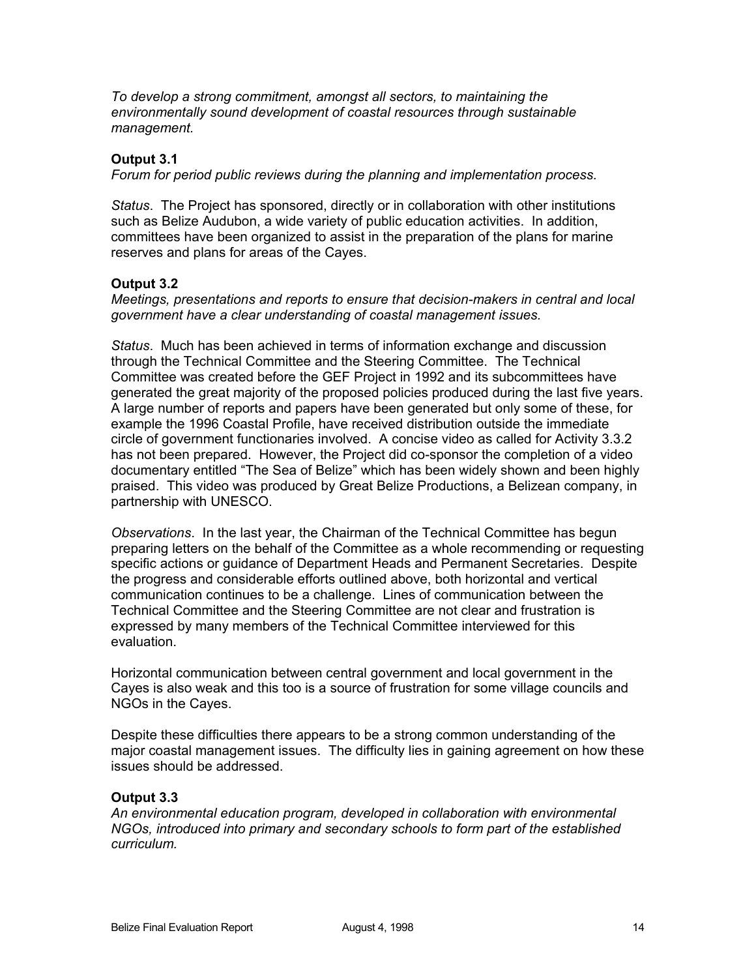*To develop a strong commitment, amongst all sectors, to maintaining the environmentally sound development of coastal resources through sustainable management.*

#### **Output 3.1**

*Forum for period public reviews during the planning and implementation process.*

*Status*. The Project has sponsored, directly or in collaboration with other institutions such as Belize Audubon, a wide variety of public education activities. In addition, committees have been organized to assist in the preparation of the plans for marine reserves and plans for areas of the Cayes.

#### **Output 3.2**

*Meetings, presentations and reports to ensure that decision-makers in central and local government have a clear understanding of coastal management issues.*

*Status*. Much has been achieved in terms of information exchange and discussion through the Technical Committee and the Steering Committee. The Technical Committee was created before the GEF Project in 1992 and its subcommittees have generated the great majority of the proposed policies produced during the last five years. A large number of reports and papers have been generated but only some of these, for example the 1996 Coastal Profile, have received distribution outside the immediate circle of government functionaries involved. A concise video as called for Activity 3.3.2 has not been prepared. However, the Project did co-sponsor the completion of a video documentary entitled "The Sea of Belize" which has been widely shown and been highly praised. This video was produced by Great Belize Productions, a Belizean company, in partnership with UNESCO.

*Observations*. In the last year, the Chairman of the Technical Committee has begun preparing letters on the behalf of the Committee as a whole recommending or requesting specific actions or guidance of Department Heads and Permanent Secretaries. Despite the progress and considerable efforts outlined above, both horizontal and vertical communication continues to be a challenge. Lines of communication between the Technical Committee and the Steering Committee are not clear and frustration is expressed by many members of the Technical Committee interviewed for this evaluation.

Horizontal communication between central government and local government in the Cayes is also weak and this too is a source of frustration for some village councils and NGOs in the Cayes.

Despite these difficulties there appears to be a strong common understanding of the major coastal management issues. The difficulty lies in gaining agreement on how these issues should be addressed.

### **Output 3.3**

*An environmental education program, developed in collaboration with environmental NGOs, introduced into primary and secondary schools to form part of the established curriculum.*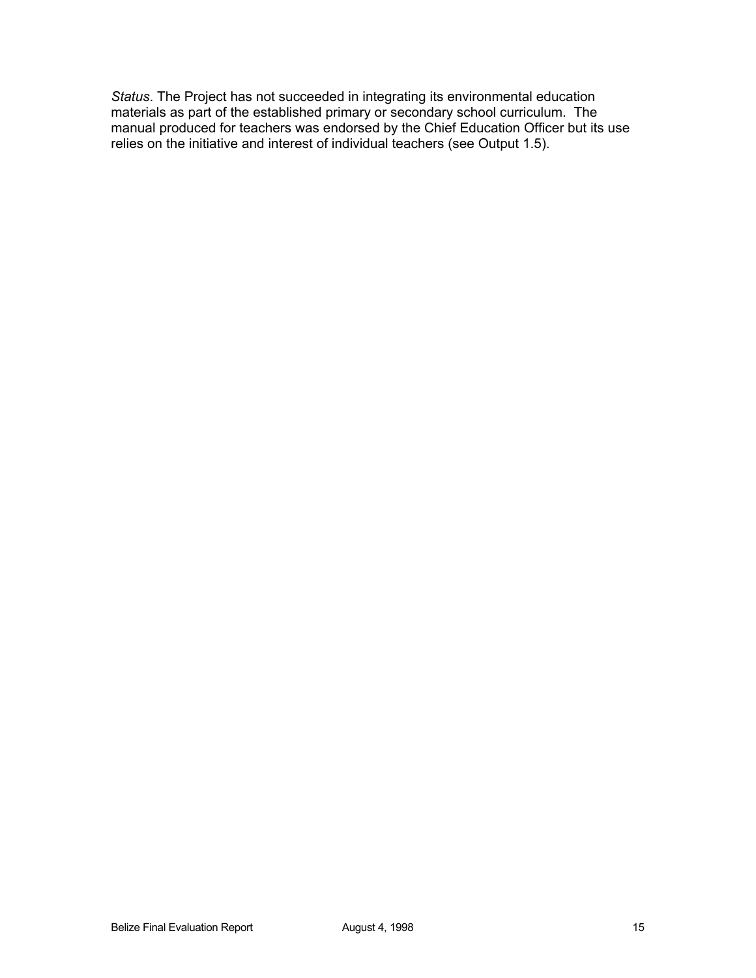*Status*. The Project has not succeeded in integrating its environmental education materials as part of the established primary or secondary school curriculum. The manual produced for teachers was endorsed by the Chief Education Officer but its use relies on the initiative and interest of individual teachers (see Output 1.5).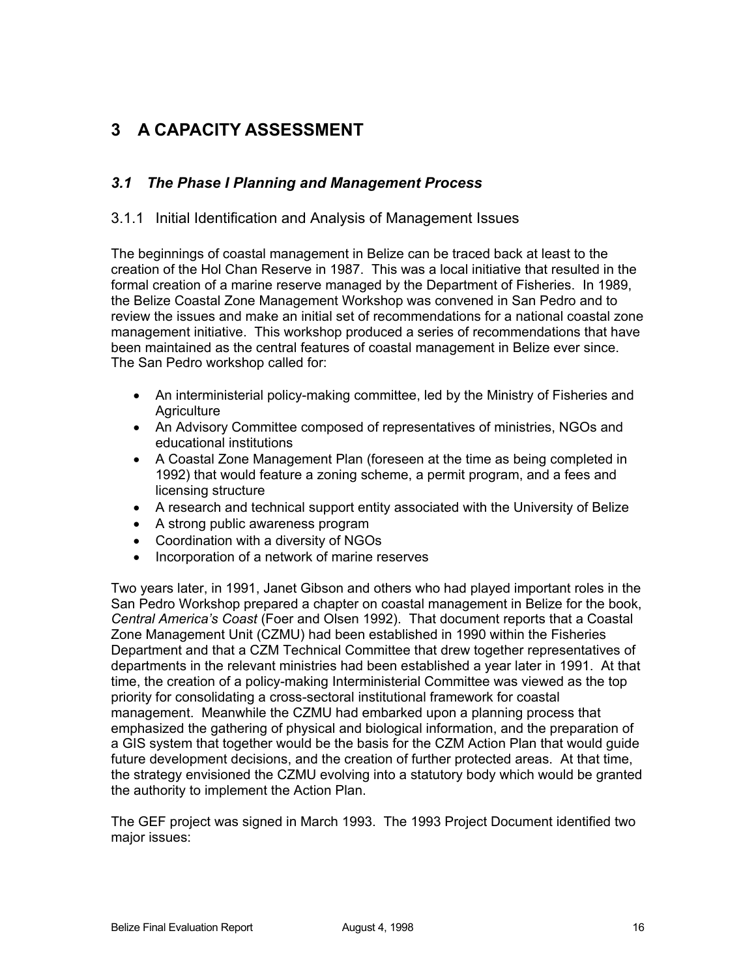# **3 A CAPACITY ASSESSMENT**

# *3.1 The Phase I Planning and Management Process*

### 3.1.1 Initial Identification and Analysis of Management Issues

The beginnings of coastal management in Belize can be traced back at least to the creation of the Hol Chan Reserve in 1987. This was a local initiative that resulted in the formal creation of a marine reserve managed by the Department of Fisheries. In 1989, the Belize Coastal Zone Management Workshop was convened in San Pedro and to review the issues and make an initial set of recommendations for a national coastal zone management initiative. This workshop produced a series of recommendations that have been maintained as the central features of coastal management in Belize ever since. The San Pedro workshop called for:

- An interministerial policy-making committee, led by the Ministry of Fisheries and **Agriculture**
- An Advisory Committee composed of representatives of ministries, NGOs and educational institutions
- A Coastal Zone Management Plan (foreseen at the time as being completed in 1992) that would feature a zoning scheme, a permit program, and a fees and licensing structure
- A research and technical support entity associated with the University of Belize
- A strong public awareness program
- Coordination with a diversity of NGOs
- Incorporation of a network of marine reserves

Two years later, in 1991, Janet Gibson and others who had played important roles in the San Pedro Workshop prepared a chapter on coastal management in Belize for the book, *Central America's Coast* (Foer and Olsen 1992). That document reports that a Coastal Zone Management Unit (CZMU) had been established in 1990 within the Fisheries Department and that a CZM Technical Committee that drew together representatives of departments in the relevant ministries had been established a year later in 1991. At that time, the creation of a policy-making Interministerial Committee was viewed as the top priority for consolidating a cross-sectoral institutional framework for coastal management. Meanwhile the CZMU had embarked upon a planning process that emphasized the gathering of physical and biological information, and the preparation of a GIS system that together would be the basis for the CZM Action Plan that would guide future development decisions, and the creation of further protected areas. At that time, the strategy envisioned the CZMU evolving into a statutory body which would be granted the authority to implement the Action Plan.

The GEF project was signed in March 1993. The 1993 Project Document identified two major issues: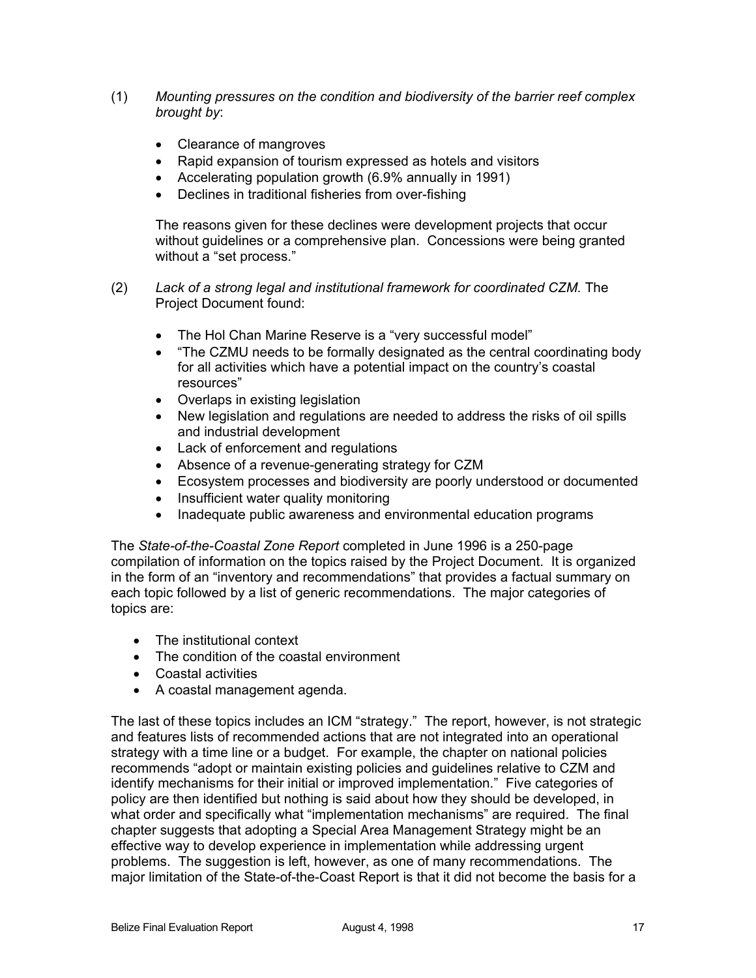- (1) *Mounting pressures on the condition and biodiversity of the barrier reef complex brought by*:
	- Clearance of mangroves
	- Rapid expansion of tourism expressed as hotels and visitors
	- Accelerating population growth (6.9% annually in 1991)
	- Declines in traditional fisheries from over-fishing

The reasons given for these declines were development projects that occur without guidelines or a comprehensive plan. Concessions were being granted without a "set process."

- (2) *Lack of a strong legal and institutional framework for coordinated CZM.* The Project Document found:
	- The Hol Chan Marine Reserve is a "very successful model"
	- "The CZMU needs to be formally designated as the central coordinating body for all activities which have a potential impact on the country's coastal resources"
	- Overlaps in existing legislation
	- New legislation and regulations are needed to address the risks of oil spills and industrial development
	- Lack of enforcement and regulations
	- Absence of a revenue-generating strategy for CZM
	- Ecosystem processes and biodiversity are poorly understood or documented
	- Insufficient water quality monitoring
	- Inadequate public awareness and environmental education programs

The *State-of-the-Coastal Zone Report* completed in June 1996 is a 250-page compilation of information on the topics raised by the Project Document. It is organized in the form of an "inventory and recommendations" that provides a factual summary on each topic followed by a list of generic recommendations. The major categories of topics are:

- The institutional context
- The condition of the coastal environment
- Coastal activities
- A coastal management agenda.

The last of these topics includes an ICM "strategy." The report, however, is not strategic and features lists of recommended actions that are not integrated into an operational strategy with a time line or a budget. For example, the chapter on national policies recommends "adopt or maintain existing policies and guidelines relative to CZM and identify mechanisms for their initial or improved implementation." Five categories of policy are then identified but nothing is said about how they should be developed, in what order and specifically what "implementation mechanisms" are required. The final chapter suggests that adopting a Special Area Management Strategy might be an effective way to develop experience in implementation while addressing urgent problems. The suggestion is left, however, as one of many recommendations. The major limitation of the State-of-the-Coast Report is that it did not become the basis for a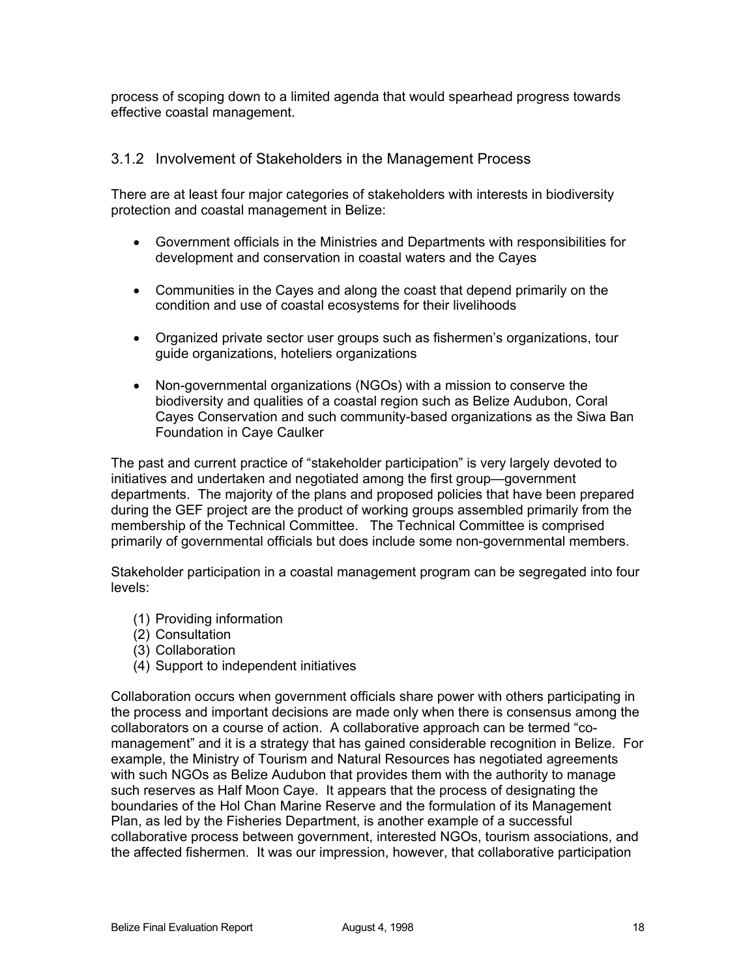process of scoping down to a limited agenda that would spearhead progress towards effective coastal management.

### 3.1.2 Involvement of Stakeholders in the Management Process

There are at least four major categories of stakeholders with interests in biodiversity protection and coastal management in Belize:

- Government officials in the Ministries and Departments with responsibilities for development and conservation in coastal waters and the Cayes
- Communities in the Cayes and along the coast that depend primarily on the condition and use of coastal ecosystems for their livelihoods
- Organized private sector user groups such as fishermen's organizations, tour guide organizations, hoteliers organizations
- Non-governmental organizations (NGOs) with a mission to conserve the biodiversity and qualities of a coastal region such as Belize Audubon, Coral Cayes Conservation and such community-based organizations as the Siwa Ban Foundation in Caye Caulker

The past and current practice of "stakeholder participation" is very largely devoted to initiatives and undertaken and negotiated among the first group—government departments. The majority of the plans and proposed policies that have been prepared during the GEF project are the product of working groups assembled primarily from the membership of the Technical Committee. The Technical Committee is comprised primarily of governmental officials but does include some non-governmental members.

Stakeholder participation in a coastal management program can be segregated into four levels:

- (1) Providing information
- (2) Consultation
- (3) Collaboration
- (4) Support to independent initiatives

Collaboration occurs when government officials share power with others participating in the process and important decisions are made only when there is consensus among the collaborators on a course of action. A collaborative approach can be termed "comanagement" and it is a strategy that has gained considerable recognition in Belize. For example, the Ministry of Tourism and Natural Resources has negotiated agreements with such NGOs as Belize Audubon that provides them with the authority to manage such reserves as Half Moon Caye. It appears that the process of designating the boundaries of the Hol Chan Marine Reserve and the formulation of its Management Plan, as led by the Fisheries Department, is another example of a successful collaborative process between government, interested NGOs, tourism associations, and the affected fishermen. It was our impression, however, that collaborative participation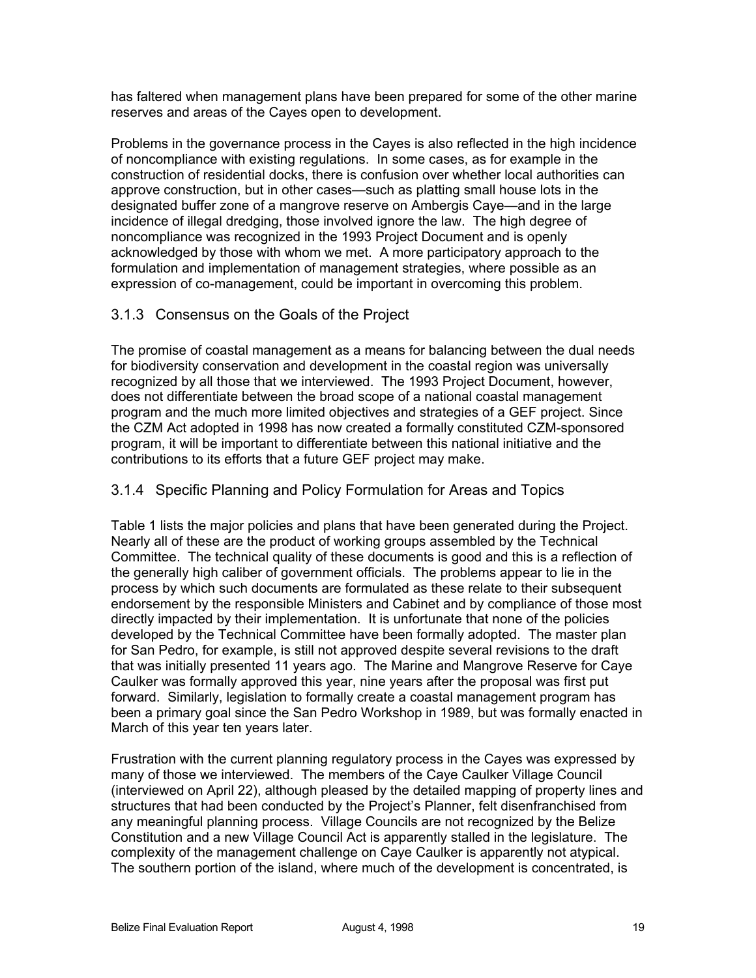has faltered when management plans have been prepared for some of the other marine reserves and areas of the Cayes open to development.

Problems in the governance process in the Cayes is also reflected in the high incidence of noncompliance with existing regulations. In some cases, as for example in the construction of residential docks, there is confusion over whether local authorities can approve construction, but in other cases—such as platting small house lots in the designated buffer zone of a mangrove reserve on Ambergis Caye—and in the large incidence of illegal dredging, those involved ignore the law. The high degree of noncompliance was recognized in the 1993 Project Document and is openly acknowledged by those with whom we met. A more participatory approach to the formulation and implementation of management strategies, where possible as an expression of co-management, could be important in overcoming this problem.

### 3.1.3 Consensus on the Goals of the Project

The promise of coastal management as a means for balancing between the dual needs for biodiversity conservation and development in the coastal region was universally recognized by all those that we interviewed. The 1993 Project Document, however, does not differentiate between the broad scope of a national coastal management program and the much more limited objectives and strategies of a GEF project. Since the CZM Act adopted in 1998 has now created a formally constituted CZM-sponsored program, it will be important to differentiate between this national initiative and the contributions to its efforts that a future GEF project may make.

### 3.1.4 Specific Planning and Policy Formulation for Areas and Topics

Table 1 lists the major policies and plans that have been generated during the Project. Nearly all of these are the product of working groups assembled by the Technical Committee. The technical quality of these documents is good and this is a reflection of the generally high caliber of government officials. The problems appear to lie in the process by which such documents are formulated as these relate to their subsequent endorsement by the responsible Ministers and Cabinet and by compliance of those most directly impacted by their implementation. It is unfortunate that none of the policies developed by the Technical Committee have been formally adopted. The master plan for San Pedro, for example, is still not approved despite several revisions to the draft that was initially presented 11 years ago. The Marine and Mangrove Reserve for Caye Caulker was formally approved this year, nine years after the proposal was first put forward. Similarly, legislation to formally create a coastal management program has been a primary goal since the San Pedro Workshop in 1989, but was formally enacted in March of this year ten years later.

Frustration with the current planning regulatory process in the Cayes was expressed by many of those we interviewed. The members of the Caye Caulker Village Council (interviewed on April 22), although pleased by the detailed mapping of property lines and structures that had been conducted by the Project's Planner, felt disenfranchised from any meaningful planning process. Village Councils are not recognized by the Belize Constitution and a new Village Council Act is apparently stalled in the legislature. The complexity of the management challenge on Caye Caulker is apparently not atypical. The southern portion of the island, where much of the development is concentrated, is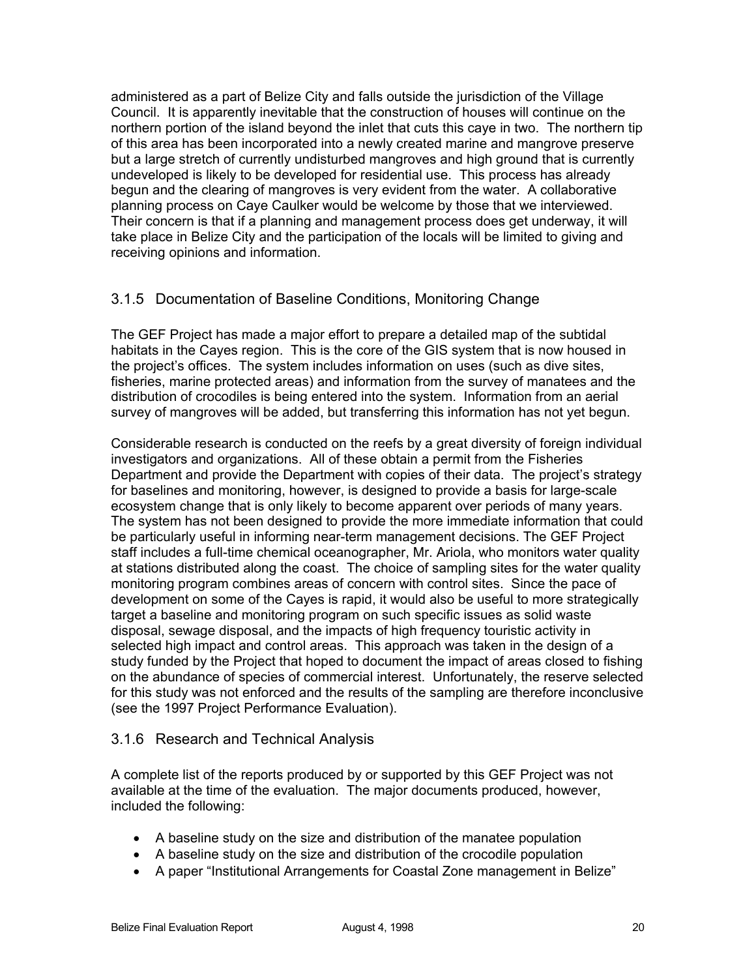administered as a part of Belize City and falls outside the jurisdiction of the Village Council. It is apparently inevitable that the construction of houses will continue on the northern portion of the island beyond the inlet that cuts this caye in two. The northern tip of this area has been incorporated into a newly created marine and mangrove preserve but a large stretch of currently undisturbed mangroves and high ground that is currently undeveloped is likely to be developed for residential use. This process has already begun and the clearing of mangroves is very evident from the water. A collaborative planning process on Caye Caulker would be welcome by those that we interviewed. Their concern is that if a planning and management process does get underway, it will take place in Belize City and the participation of the locals will be limited to giving and receiving opinions and information.

# 3.1.5 Documentation of Baseline Conditions, Monitoring Change

The GEF Project has made a major effort to prepare a detailed map of the subtidal habitats in the Cayes region. This is the core of the GIS system that is now housed in the project's offices. The system includes information on uses (such as dive sites, fisheries, marine protected areas) and information from the survey of manatees and the distribution of crocodiles is being entered into the system. Information from an aerial survey of mangroves will be added, but transferring this information has not yet begun.

Considerable research is conducted on the reefs by a great diversity of foreign individual investigators and organizations. All of these obtain a permit from the Fisheries Department and provide the Department with copies of their data. The project's strategy for baselines and monitoring, however, is designed to provide a basis for large-scale ecosystem change that is only likely to become apparent over periods of many years. The system has not been designed to provide the more immediate information that could be particularly useful in informing near-term management decisions. The GEF Project staff includes a full-time chemical oceanographer, Mr. Ariola, who monitors water quality at stations distributed along the coast. The choice of sampling sites for the water quality monitoring program combines areas of concern with control sites. Since the pace of development on some of the Cayes is rapid, it would also be useful to more strategically target a baseline and monitoring program on such specific issues as solid waste disposal, sewage disposal, and the impacts of high frequency touristic activity in selected high impact and control areas. This approach was taken in the design of a study funded by the Project that hoped to document the impact of areas closed to fishing on the abundance of species of commercial interest. Unfortunately, the reserve selected for this study was not enforced and the results of the sampling are therefore inconclusive (see the 1997 Project Performance Evaluation).

### 3.1.6 Research and Technical Analysis

A complete list of the reports produced by or supported by this GEF Project was not available at the time of the evaluation. The major documents produced, however, included the following:

- A baseline study on the size and distribution of the manatee population
- A baseline study on the size and distribution of the crocodile population
- A paper "Institutional Arrangements for Coastal Zone management in Belize"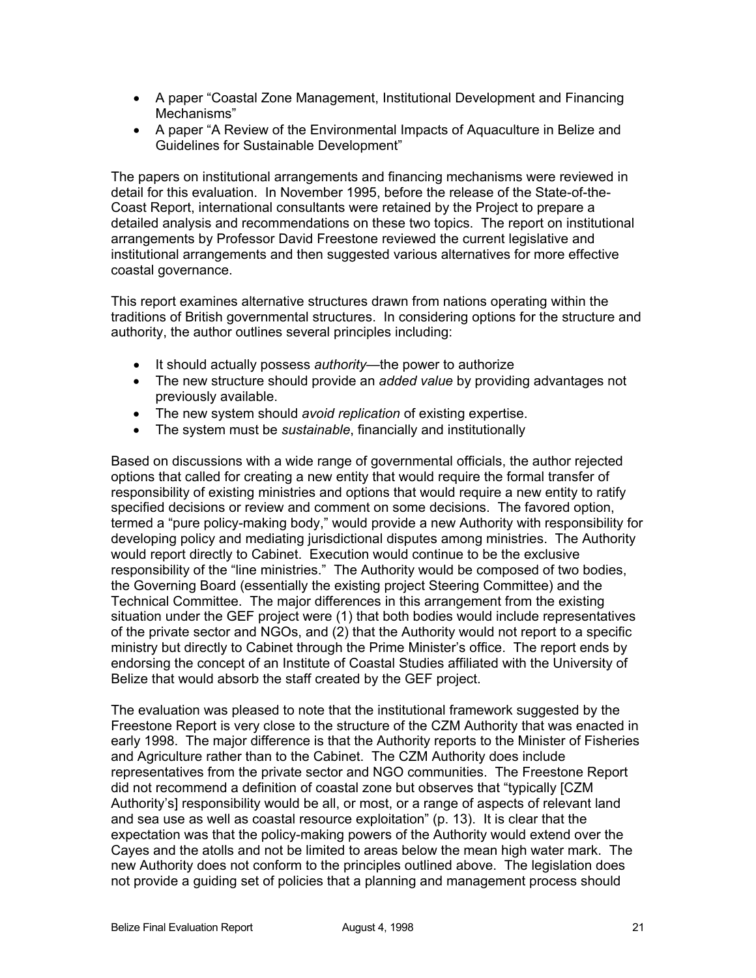- A paper "Coastal Zone Management, Institutional Development and Financing Mechanisms"
- A paper "A Review of the Environmental Impacts of Aquaculture in Belize and Guidelines for Sustainable Development"

The papers on institutional arrangements and financing mechanisms were reviewed in detail for this evaluation. In November 1995, before the release of the State-of-the-Coast Report, international consultants were retained by the Project to prepare a detailed analysis and recommendations on these two topics. The report on institutional arrangements by Professor David Freestone reviewed the current legislative and institutional arrangements and then suggested various alternatives for more effective coastal governance.

This report examines alternative structures drawn from nations operating within the traditions of British governmental structures. In considering options for the structure and authority, the author outlines several principles including:

- It should actually possess *authority*—the power to authorize
- The new structure should provide an *added value* by providing advantages not previously available.
- The new system should *avoid replication* of existing expertise.
- The system must be *sustainable*, financially and institutionally

Based on discussions with a wide range of governmental officials, the author rejected options that called for creating a new entity that would require the formal transfer of responsibility of existing ministries and options that would require a new entity to ratify specified decisions or review and comment on some decisions. The favored option, termed a "pure policy-making body," would provide a new Authority with responsibility for developing policy and mediating jurisdictional disputes among ministries. The Authority would report directly to Cabinet. Execution would continue to be the exclusive responsibility of the "line ministries." The Authority would be composed of two bodies, the Governing Board (essentially the existing project Steering Committee) and the Technical Committee. The major differences in this arrangement from the existing situation under the GEF project were (1) that both bodies would include representatives of the private sector and NGOs, and (2) that the Authority would not report to a specific ministry but directly to Cabinet through the Prime Minister's office. The report ends by endorsing the concept of an Institute of Coastal Studies affiliated with the University of Belize that would absorb the staff created by the GEF project.

The evaluation was pleased to note that the institutional framework suggested by the Freestone Report is very close to the structure of the CZM Authority that was enacted in early 1998. The major difference is that the Authority reports to the Minister of Fisheries and Agriculture rather than to the Cabinet. The CZM Authority does include representatives from the private sector and NGO communities. The Freestone Report did not recommend a definition of coastal zone but observes that "typically [CZM Authority's] responsibility would be all, or most, or a range of aspects of relevant land and sea use as well as coastal resource exploitation" (p. 13). It is clear that the expectation was that the policy-making powers of the Authority would extend over the Cayes and the atolls and not be limited to areas below the mean high water mark. The new Authority does not conform to the principles outlined above. The legislation does not provide a guiding set of policies that a planning and management process should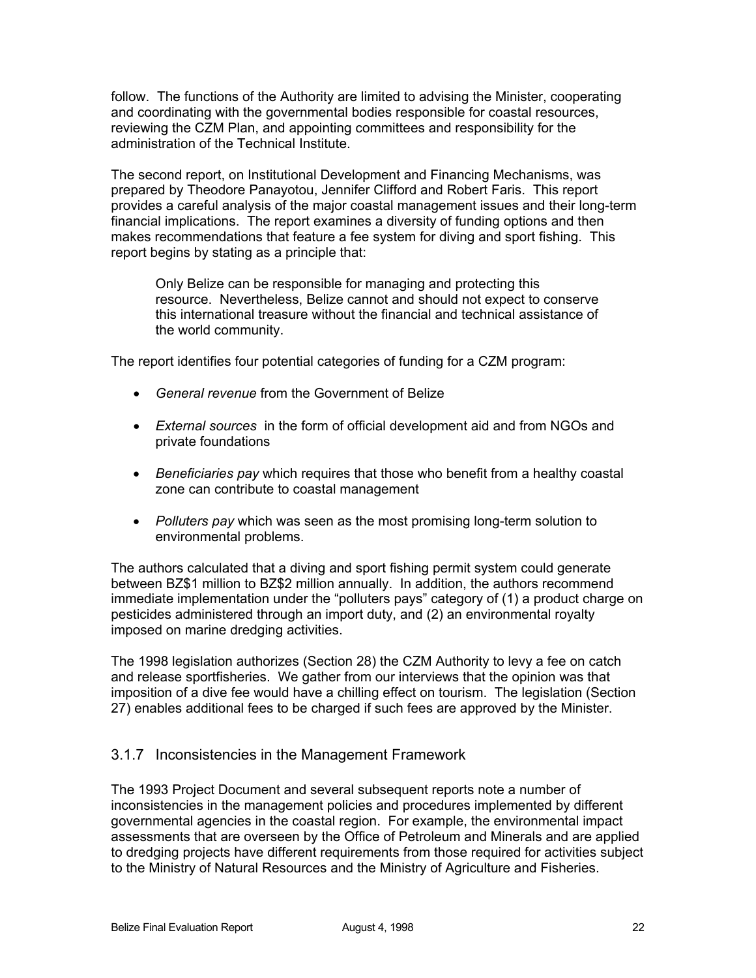follow. The functions of the Authority are limited to advising the Minister, cooperating and coordinating with the governmental bodies responsible for coastal resources, reviewing the CZM Plan, and appointing committees and responsibility for the administration of the Technical Institute.

The second report, on Institutional Development and Financing Mechanisms, was prepared by Theodore Panayotou, Jennifer Clifford and Robert Faris. This report provides a careful analysis of the major coastal management issues and their long-term financial implications. The report examines a diversity of funding options and then makes recommendations that feature a fee system for diving and sport fishing. This report begins by stating as a principle that:

Only Belize can be responsible for managing and protecting this resource. Nevertheless, Belize cannot and should not expect to conserve this international treasure without the financial and technical assistance of the world community.

The report identifies four potential categories of funding for a CZM program:

- *General revenue* from the Government of Belize
- *External sources* in the form of official development aid and from NGOs and private foundations
- *Beneficiaries pay* which requires that those who benefit from a healthy coastal zone can contribute to coastal management
- *Polluters pay* which was seen as the most promising long-term solution to environmental problems.

The authors calculated that a diving and sport fishing permit system could generate between BZ\$1 million to BZ\$2 million annually. In addition, the authors recommend immediate implementation under the "polluters pays" category of (1) a product charge on pesticides administered through an import duty, and (2) an environmental royalty imposed on marine dredging activities.

The 1998 legislation authorizes (Section 28) the CZM Authority to levy a fee on catch and release sportfisheries. We gather from our interviews that the opinion was that imposition of a dive fee would have a chilling effect on tourism. The legislation (Section 27) enables additional fees to be charged if such fees are approved by the Minister.

### 3.1.7 Inconsistencies in the Management Framework

The 1993 Project Document and several subsequent reports note a number of inconsistencies in the management policies and procedures implemented by different governmental agencies in the coastal region. For example, the environmental impact assessments that are overseen by the Office of Petroleum and Minerals and are applied to dredging projects have different requirements from those required for activities subject to the Ministry of Natural Resources and the Ministry of Agriculture and Fisheries.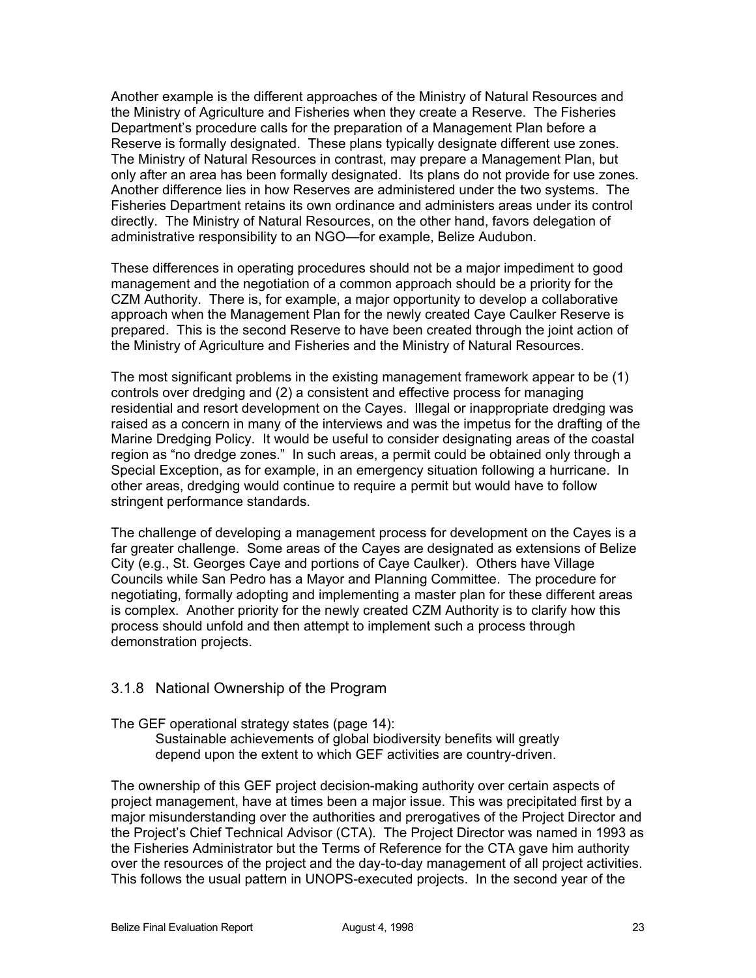Another example is the different approaches of the Ministry of Natural Resources and the Ministry of Agriculture and Fisheries when they create a Reserve. The Fisheries Department's procedure calls for the preparation of a Management Plan before a Reserve is formally designated. These plans typically designate different use zones. The Ministry of Natural Resources in contrast, may prepare a Management Plan, but only after an area has been formally designated. Its plans do not provide for use zones. Another difference lies in how Reserves are administered under the two systems. The Fisheries Department retains its own ordinance and administers areas under its control directly. The Ministry of Natural Resources, on the other hand, favors delegation of administrative responsibility to an NGO—for example, Belize Audubon.

These differences in operating procedures should not be a major impediment to good management and the negotiation of a common approach should be a priority for the CZM Authority. There is, for example, a major opportunity to develop a collaborative approach when the Management Plan for the newly created Caye Caulker Reserve is prepared. This is the second Reserve to have been created through the joint action of the Ministry of Agriculture and Fisheries and the Ministry of Natural Resources.

The most significant problems in the existing management framework appear to be (1) controls over dredging and (2) a consistent and effective process for managing residential and resort development on the Cayes. Illegal or inappropriate dredging was raised as a concern in many of the interviews and was the impetus for the drafting of the Marine Dredging Policy. It would be useful to consider designating areas of the coastal region as "no dredge zones." In such areas, a permit could be obtained only through a Special Exception, as for example, in an emergency situation following a hurricane. In other areas, dredging would continue to require a permit but would have to follow stringent performance standards.

The challenge of developing a management process for development on the Cayes is a far greater challenge. Some areas of the Cayes are designated as extensions of Belize City (e.g., St. Georges Caye and portions of Caye Caulker). Others have Village Councils while San Pedro has a Mayor and Planning Committee. The procedure for negotiating, formally adopting and implementing a master plan for these different areas is complex. Another priority for the newly created CZM Authority is to clarify how this process should unfold and then attempt to implement such a process through demonstration projects.

### 3.1.8 National Ownership of the Program

The GEF operational strategy states (page 14):

Sustainable achievements of global biodiversity benefits will greatly depend upon the extent to which GEF activities are country-driven.

The ownership of this GEF project decision-making authority over certain aspects of project management, have at times been a major issue. This was precipitated first by a major misunderstanding over the authorities and prerogatives of the Project Director and the Project's Chief Technical Advisor (CTA). The Project Director was named in 1993 as the Fisheries Administrator but the Terms of Reference for the CTA gave him authority over the resources of the project and the day-to-day management of all project activities. This follows the usual pattern in UNOPS-executed projects. In the second year of the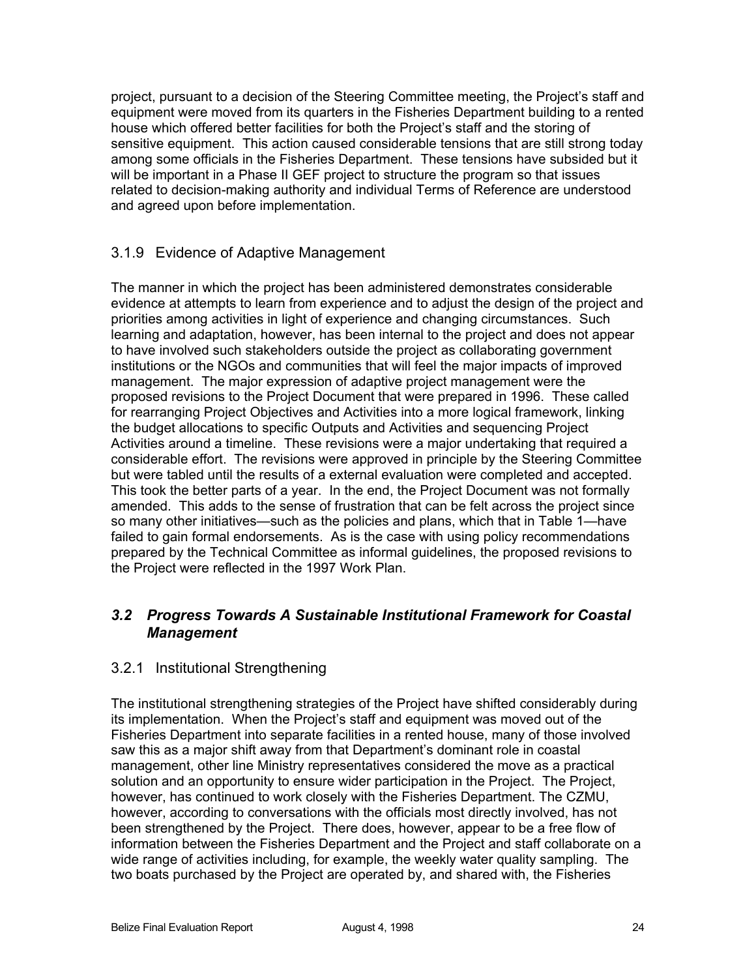project, pursuant to a decision of the Steering Committee meeting, the Project's staff and equipment were moved from its quarters in the Fisheries Department building to a rented house which offered better facilities for both the Project's staff and the storing of sensitive equipment. This action caused considerable tensions that are still strong today among some officials in the Fisheries Department. These tensions have subsided but it will be important in a Phase II GEF project to structure the program so that issues related to decision-making authority and individual Terms of Reference are understood and agreed upon before implementation.

# 3.1.9 Evidence of Adaptive Management

The manner in which the project has been administered demonstrates considerable evidence at attempts to learn from experience and to adjust the design of the project and priorities among activities in light of experience and changing circumstances. Such learning and adaptation, however, has been internal to the project and does not appear to have involved such stakeholders outside the project as collaborating government institutions or the NGOs and communities that will feel the major impacts of improved management. The major expression of adaptive project management were the proposed revisions to the Project Document that were prepared in 1996. These called for rearranging Project Objectives and Activities into a more logical framework, linking the budget allocations to specific Outputs and Activities and sequencing Project Activities around a timeline. These revisions were a major undertaking that required a considerable effort. The revisions were approved in principle by the Steering Committee but were tabled until the results of a external evaluation were completed and accepted. This took the better parts of a year. In the end, the Project Document was not formally amended. This adds to the sense of frustration that can be felt across the project since so many other initiatives—such as the policies and plans, which that in Table 1—have failed to gain formal endorsements. As is the case with using policy recommendations prepared by the Technical Committee as informal guidelines, the proposed revisions to the Project were reflected in the 1997 Work Plan.

# *3.2 Progress Towards A Sustainable Institutional Framework for Coastal Management*

### 3.2.1 Institutional Strengthening

The institutional strengthening strategies of the Project have shifted considerably during its implementation. When the Project's staff and equipment was moved out of the Fisheries Department into separate facilities in a rented house, many of those involved saw this as a major shift away from that Department's dominant role in coastal management, other line Ministry representatives considered the move as a practical solution and an opportunity to ensure wider participation in the Project. The Project, however, has continued to work closely with the Fisheries Department. The CZMU, however, according to conversations with the officials most directly involved, has not been strengthened by the Project. There does, however, appear to be a free flow of information between the Fisheries Department and the Project and staff collaborate on a wide range of activities including, for example, the weekly water quality sampling. The two boats purchased by the Project are operated by, and shared with, the Fisheries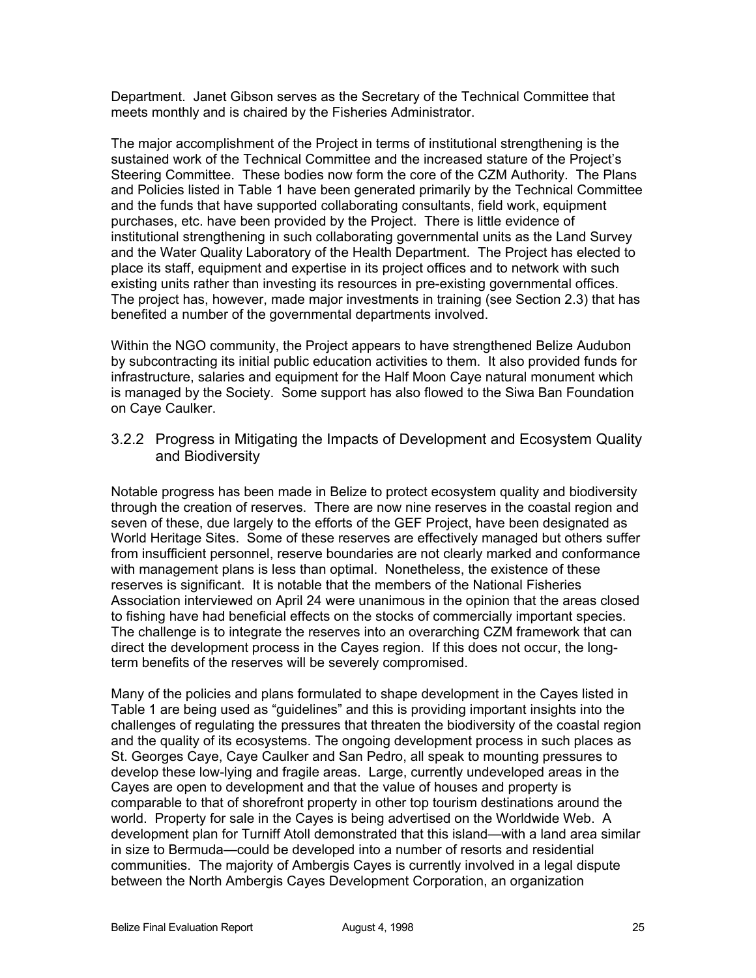Department. Janet Gibson serves as the Secretary of the Technical Committee that meets monthly and is chaired by the Fisheries Administrator.

The major accomplishment of the Project in terms of institutional strengthening is the sustained work of the Technical Committee and the increased stature of the Project's Steering Committee. These bodies now form the core of the CZM Authority. The Plans and Policies listed in Table 1 have been generated primarily by the Technical Committee and the funds that have supported collaborating consultants, field work, equipment purchases, etc. have been provided by the Project. There is little evidence of institutional strengthening in such collaborating governmental units as the Land Survey and the Water Quality Laboratory of the Health Department. The Project has elected to place its staff, equipment and expertise in its project offices and to network with such existing units rather than investing its resources in pre-existing governmental offices. The project has, however, made major investments in training (see Section 2.3) that has benefited a number of the governmental departments involved.

Within the NGO community, the Project appears to have strengthened Belize Audubon by subcontracting its initial public education activities to them. It also provided funds for infrastructure, salaries and equipment for the Half Moon Caye natural monument which is managed by the Society. Some support has also flowed to the Siwa Ban Foundation on Caye Caulker.

3.2.2 Progress in Mitigating the Impacts of Development and Ecosystem Quality and Biodiversity

Notable progress has been made in Belize to protect ecosystem quality and biodiversity through the creation of reserves. There are now nine reserves in the coastal region and seven of these, due largely to the efforts of the GEF Project, have been designated as World Heritage Sites. Some of these reserves are effectively managed but others suffer from insufficient personnel, reserve boundaries are not clearly marked and conformance with management plans is less than optimal. Nonetheless, the existence of these reserves is significant. It is notable that the members of the National Fisheries Association interviewed on April 24 were unanimous in the opinion that the areas closed to fishing have had beneficial effects on the stocks of commercially important species. The challenge is to integrate the reserves into an overarching CZM framework that can direct the development process in the Cayes region. If this does not occur, the longterm benefits of the reserves will be severely compromised.

Many of the policies and plans formulated to shape development in the Cayes listed in Table 1 are being used as "guidelines" and this is providing important insights into the challenges of regulating the pressures that threaten the biodiversity of the coastal region and the quality of its ecosystems. The ongoing development process in such places as St. Georges Caye, Caye Caulker and San Pedro, all speak to mounting pressures to develop these low-lying and fragile areas. Large, currently undeveloped areas in the Cayes are open to development and that the value of houses and property is comparable to that of shorefront property in other top tourism destinations around the world. Property for sale in the Cayes is being advertised on the Worldwide Web. A development plan for Turniff Atoll demonstrated that this island—with a land area similar in size to Bermuda—could be developed into a number of resorts and residential communities. The majority of Ambergis Cayes is currently involved in a legal dispute between the North Ambergis Cayes Development Corporation, an organization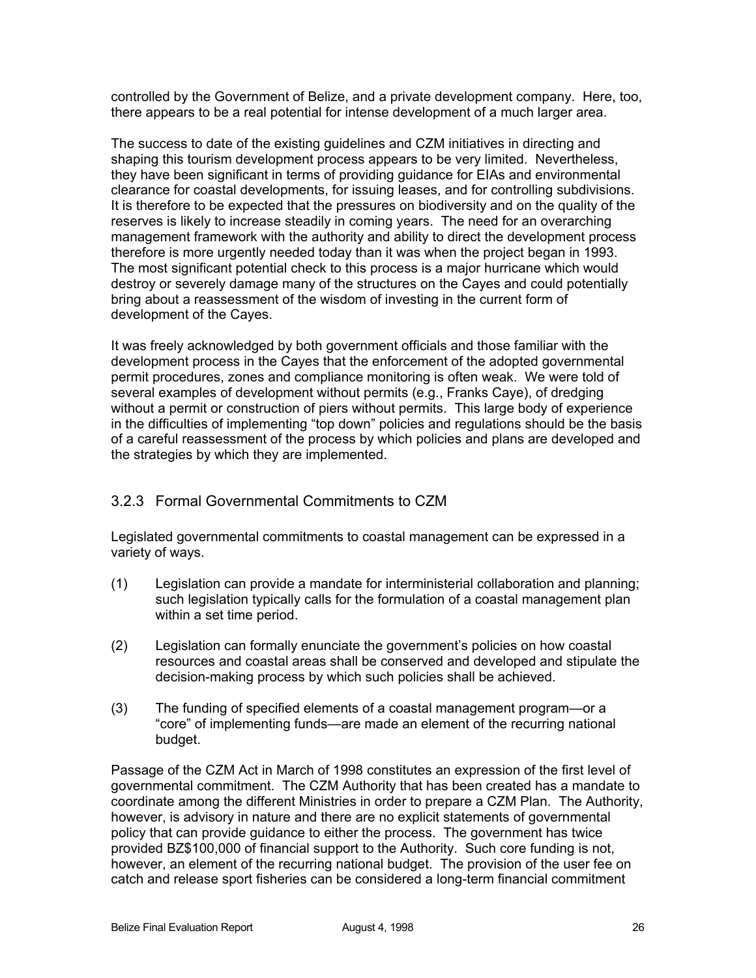controlled by the Government of Belize, and a private development company. Here, too, there appears to be a real potential for intense development of a much larger area.

The success to date of the existing guidelines and CZM initiatives in directing and shaping this tourism development process appears to be very limited. Nevertheless, they have been significant in terms of providing guidance for EIAs and environmental clearance for coastal developments, for issuing leases, and for controlling subdivisions. It is therefore to be expected that the pressures on biodiversity and on the quality of the reserves is likely to increase steadily in coming years. The need for an overarching management framework with the authority and ability to direct the development process therefore is more urgently needed today than it was when the project began in 1993. The most significant potential check to this process is a major hurricane which would destroy or severely damage many of the structures on the Cayes and could potentially bring about a reassessment of the wisdom of investing in the current form of development of the Cayes.

It was freely acknowledged by both government officials and those familiar with the development process in the Cayes that the enforcement of the adopted governmental permit procedures, zones and compliance monitoring is often weak. We were told of several examples of development without permits (e.g., Franks Caye), of dredging without a permit or construction of piers without permits. This large body of experience in the difficulties of implementing "top down" policies and regulations should be the basis of a careful reassessment of the process by which policies and plans are developed and the strategies by which they are implemented.

### 3.2.3 Formal Governmental Commitments to CZM

Legislated governmental commitments to coastal management can be expressed in a variety of ways.

- (1) Legislation can provide a mandate for interministerial collaboration and planning; such legislation typically calls for the formulation of a coastal management plan within a set time period.
- (2) Legislation can formally enunciate the government's policies on how coastal resources and coastal areas shall be conserved and developed and stipulate the decision-making process by which such policies shall be achieved.
- (3) The funding of specified elements of a coastal management program—or a "core" of implementing funds—are made an element of the recurring national budget.

Passage of the CZM Act in March of 1998 constitutes an expression of the first level of governmental commitment. The CZM Authority that has been created has a mandate to coordinate among the different Ministries in order to prepare a CZM Plan. The Authority, however, is advisory in nature and there are no explicit statements of governmental policy that can provide guidance to either the process. The government has twice provided BZ\$100,000 of financial support to the Authority. Such core funding is not, however, an element of the recurring national budget. The provision of the user fee on catch and release sport fisheries can be considered a long-term financial commitment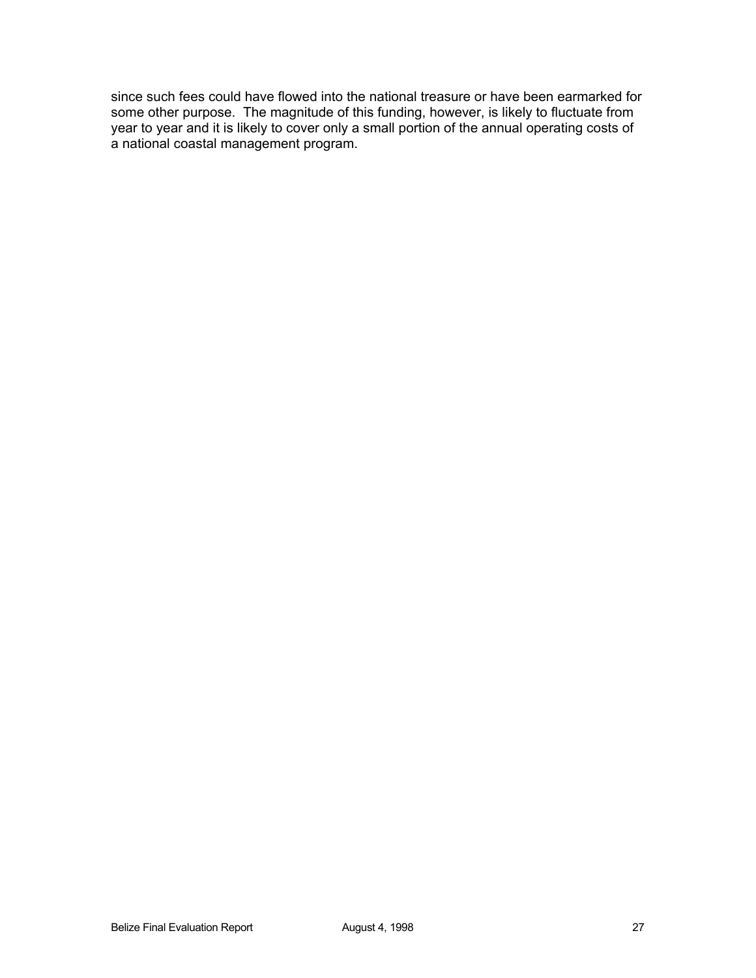since such fees could have flowed into the national treasure or have been earmarked for some other purpose. The magnitude of this funding, however, is likely to fluctuate from year to year and it is likely to cover only a small portion of the annual operating costs of a national coastal management program.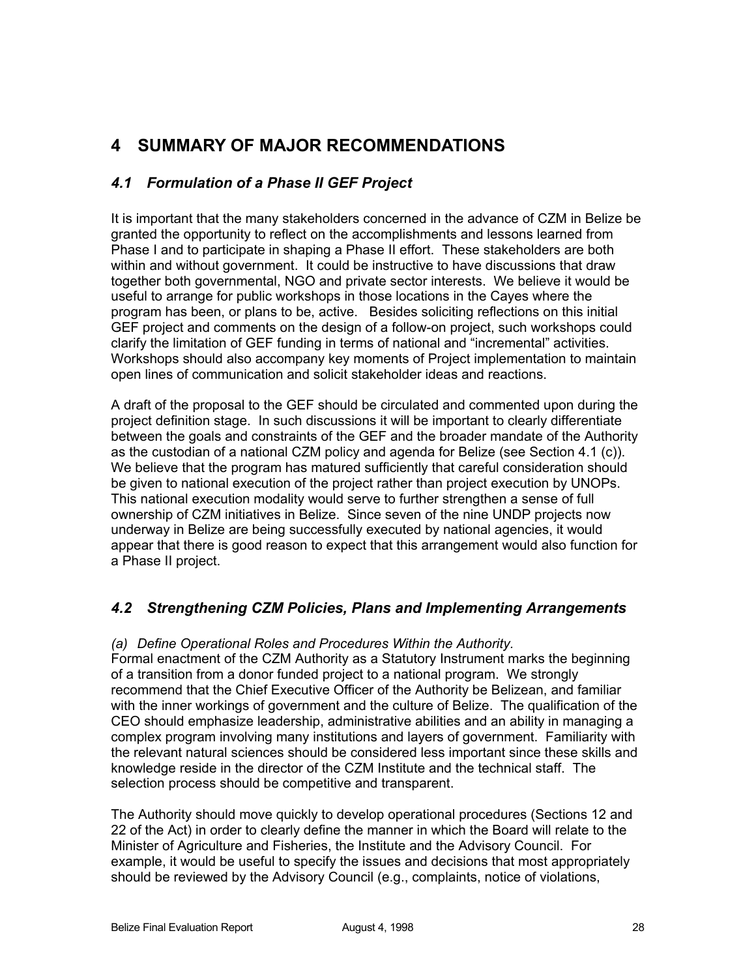# **4 SUMMARY OF MAJOR RECOMMENDATIONS**

# *4.1 Formulation of a Phase II GEF Project*

It is important that the many stakeholders concerned in the advance of CZM in Belize be granted the opportunity to reflect on the accomplishments and lessons learned from Phase I and to participate in shaping a Phase II effort. These stakeholders are both within and without government. It could be instructive to have discussions that draw together both governmental, NGO and private sector interests. We believe it would be useful to arrange for public workshops in those locations in the Cayes where the program has been, or plans to be, active. Besides soliciting reflections on this initial GEF project and comments on the design of a follow-on project, such workshops could clarify the limitation of GEF funding in terms of national and "incremental" activities. Workshops should also accompany key moments of Project implementation to maintain open lines of communication and solicit stakeholder ideas and reactions.

A draft of the proposal to the GEF should be circulated and commented upon during the project definition stage. In such discussions it will be important to clearly differentiate between the goals and constraints of the GEF and the broader mandate of the Authority as the custodian of a national CZM policy and agenda for Belize (see Section 4.1 (c)). We believe that the program has matured sufficiently that careful consideration should be given to national execution of the project rather than project execution by UNOPs. This national execution modality would serve to further strengthen a sense of full ownership of CZM initiatives in Belize. Since seven of the nine UNDP projects now underway in Belize are being successfully executed by national agencies, it would appear that there is good reason to expect that this arrangement would also function for a Phase II project.

# *4.2 Strengthening CZM Policies, Plans and Implementing Arrangements*

### *(a) Define Operational Roles and Procedures Within the Authority.*

Formal enactment of the CZM Authority as a Statutory Instrument marks the beginning of a transition from a donor funded project to a national program. We strongly recommend that the Chief Executive Officer of the Authority be Belizean, and familiar with the inner workings of government and the culture of Belize. The qualification of the CEO should emphasize leadership, administrative abilities and an ability in managing a complex program involving many institutions and layers of government. Familiarity with the relevant natural sciences should be considered less important since these skills and knowledge reside in the director of the CZM Institute and the technical staff. The selection process should be competitive and transparent.

The Authority should move quickly to develop operational procedures (Sections 12 and 22 of the Act) in order to clearly define the manner in which the Board will relate to the Minister of Agriculture and Fisheries, the Institute and the Advisory Council. For example, it would be useful to specify the issues and decisions that most appropriately should be reviewed by the Advisory Council (e.g., complaints, notice of violations,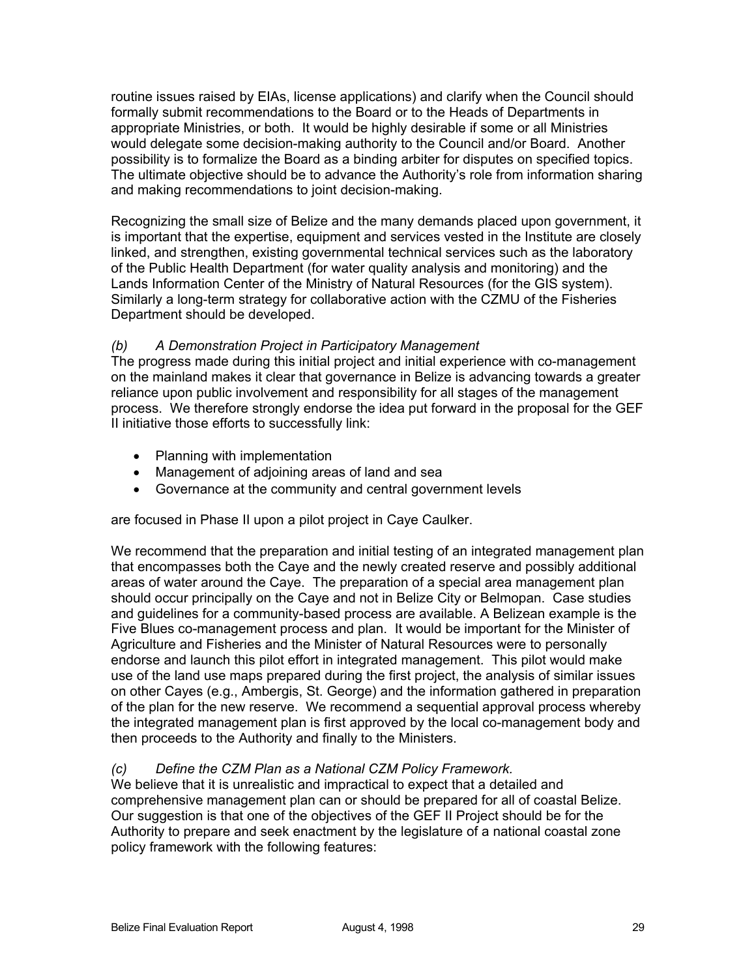routine issues raised by EIAs, license applications) and clarify when the Council should formally submit recommendations to the Board or to the Heads of Departments in appropriate Ministries, or both. It would be highly desirable if some or all Ministries would delegate some decision-making authority to the Council and/or Board. Another possibility is to formalize the Board as a binding arbiter for disputes on specified topics. The ultimate objective should be to advance the Authority's role from information sharing and making recommendations to joint decision-making.

Recognizing the small size of Belize and the many demands placed upon government, it is important that the expertise, equipment and services vested in the Institute are closely linked, and strengthen, existing governmental technical services such as the laboratory of the Public Health Department (for water quality analysis and monitoring) and the Lands Information Center of the Ministry of Natural Resources (for the GIS system). Similarly a long-term strategy for collaborative action with the CZMU of the Fisheries Department should be developed.

# *(b) A Demonstration Project in Participatory Management*

The progress made during this initial project and initial experience with co-management on the mainland makes it clear that governance in Belize is advancing towards a greater reliance upon public involvement and responsibility for all stages of the management process. We therefore strongly endorse the idea put forward in the proposal for the GEF II initiative those efforts to successfully link:

- Planning with implementation
- Management of adjoining areas of land and sea
- Governance at the community and central government levels

are focused in Phase II upon a pilot project in Caye Caulker.

We recommend that the preparation and initial testing of an integrated management plan that encompasses both the Caye and the newly created reserve and possibly additional areas of water around the Caye. The preparation of a special area management plan should occur principally on the Caye and not in Belize City or Belmopan. Case studies and guidelines for a community-based process are available. A Belizean example is the Five Blues co-management process and plan. It would be important for the Minister of Agriculture and Fisheries and the Minister of Natural Resources were to personally endorse and launch this pilot effort in integrated management. This pilot would make use of the land use maps prepared during the first project, the analysis of similar issues on other Cayes (e.g., Ambergis, St. George) and the information gathered in preparation of the plan for the new reserve. We recommend a sequential approval process whereby the integrated management plan is first approved by the local co-management body and then proceeds to the Authority and finally to the Ministers.

### *(c) Define the CZM Plan as a National CZM Policy Framework.*

We believe that it is unrealistic and impractical to expect that a detailed and comprehensive management plan can or should be prepared for all of coastal Belize. Our suggestion is that one of the objectives of the GEF II Project should be for the Authority to prepare and seek enactment by the legislature of a national coastal zone policy framework with the following features: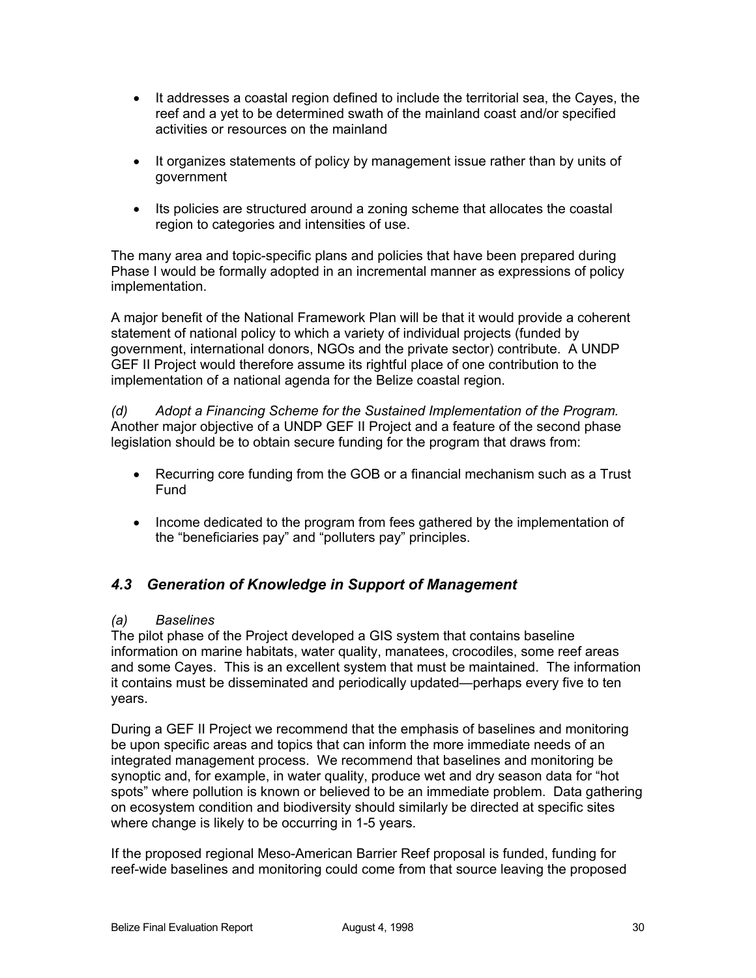- It addresses a coastal region defined to include the territorial sea, the Cayes, the reef and a yet to be determined swath of the mainland coast and/or specified activities or resources on the mainland
- It organizes statements of policy by management issue rather than by units of government
- Its policies are structured around a zoning scheme that allocates the coastal region to categories and intensities of use.

The many area and topic-specific plans and policies that have been prepared during Phase I would be formally adopted in an incremental manner as expressions of policy implementation.

A major benefit of the National Framework Plan will be that it would provide a coherent statement of national policy to which a variety of individual projects (funded by government, international donors, NGOs and the private sector) contribute. A UNDP GEF II Project would therefore assume its rightful place of one contribution to the implementation of a national agenda for the Belize coastal region.

*(d) Adopt a Financing Scheme for the Sustained Implementation of the Program.* Another major objective of a UNDP GEF II Project and a feature of the second phase legislation should be to obtain secure funding for the program that draws from:

- Recurring core funding from the GOB or a financial mechanism such as a Trust Fund
- Income dedicated to the program from fees gathered by the implementation of the "beneficiaries pay" and "polluters pay" principles.

# *4.3 Generation of Knowledge in Support of Management*

### *(a) Baselines*

The pilot phase of the Project developed a GIS system that contains baseline information on marine habitats, water quality, manatees, crocodiles, some reef areas and some Cayes. This is an excellent system that must be maintained. The information it contains must be disseminated and periodically updated—perhaps every five to ten years.

During a GEF II Project we recommend that the emphasis of baselines and monitoring be upon specific areas and topics that can inform the more immediate needs of an integrated management process. We recommend that baselines and monitoring be synoptic and, for example, in water quality, produce wet and dry season data for "hot spots" where pollution is known or believed to be an immediate problem. Data gathering on ecosystem condition and biodiversity should similarly be directed at specific sites where change is likely to be occurring in 1-5 years.

If the proposed regional Meso-American Barrier Reef proposal is funded, funding for reef-wide baselines and monitoring could come from that source leaving the proposed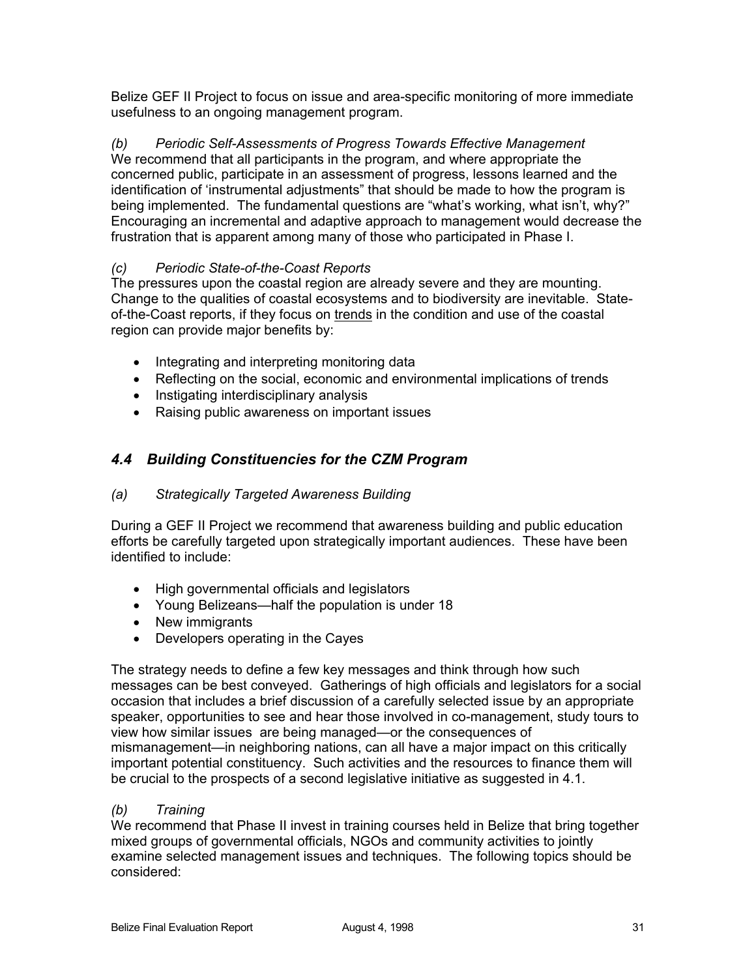Belize GEF II Project to focus on issue and area-specific monitoring of more immediate usefulness to an ongoing management program.

*(b) Periodic Self-Assessments of Progress Towards Effective Management* We recommend that all participants in the program, and where appropriate the concerned public, participate in an assessment of progress, lessons learned and the identification of 'instrumental adjustments" that should be made to how the program is being implemented. The fundamental questions are "what's working, what isn't, why?" Encouraging an incremental and adaptive approach to management would decrease the frustration that is apparent among many of those who participated in Phase I.

# *(c) Periodic State-of-the-Coast Reports*

The pressures upon the coastal region are already severe and they are mounting. Change to the qualities of coastal ecosystems and to biodiversity are inevitable. Stateof-the-Coast reports, if they focus on trends in the condition and use of the coastal region can provide major benefits by:

- Integrating and interpreting monitoring data
- Reflecting on the social, economic and environmental implications of trends
- Instigating interdisciplinary analysis
- Raising public awareness on important issues

# *4.4 Building Constituencies for the CZM Program*

### *(a) Strategically Targeted Awareness Building*

During a GEF II Project we recommend that awareness building and public education efforts be carefully targeted upon strategically important audiences. These have been identified to include:

- High governmental officials and legislators
- Young Belizeans—half the population is under 18
- New immigrants
- Developers operating in the Cayes

The strategy needs to define a few key messages and think through how such messages can be best conveyed. Gatherings of high officials and legislators for a social occasion that includes a brief discussion of a carefully selected issue by an appropriate speaker, opportunities to see and hear those involved in co-management, study tours to view how similar issues are being managed—or the consequences of mismanagement—in neighboring nations, can all have a major impact on this critically important potential constituency. Such activities and the resources to finance them will be crucial to the prospects of a second legislative initiative as suggested in 4.1.

### *(b) Training*

We recommend that Phase II invest in training courses held in Belize that bring together mixed groups of governmental officials, NGOs and community activities to jointly examine selected management issues and techniques. The following topics should be considered: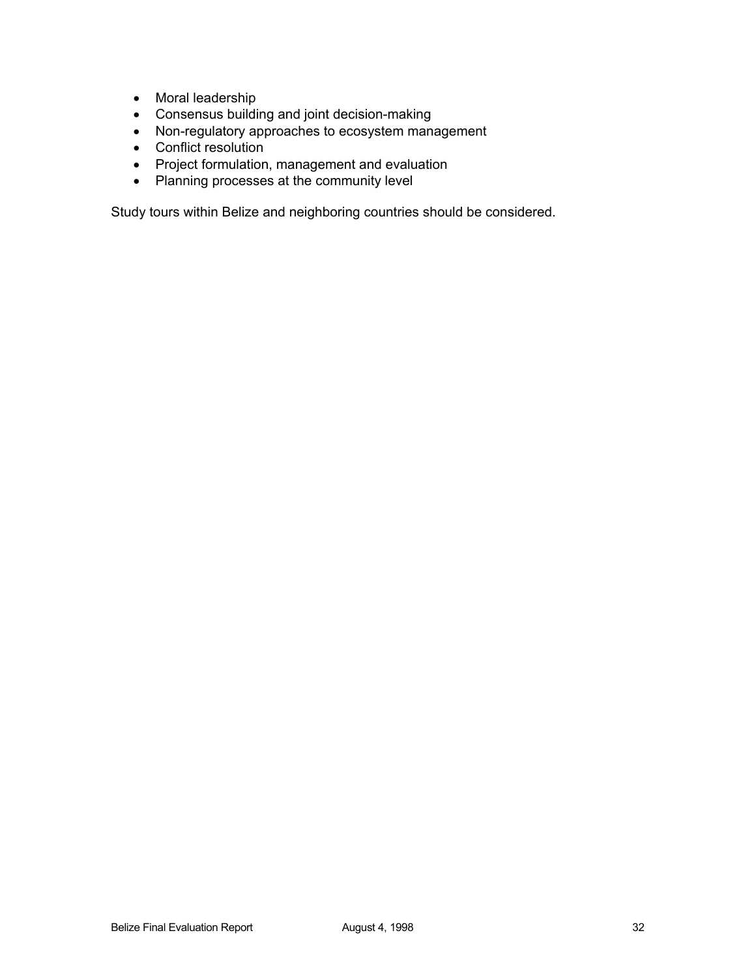- Moral leadership
- Consensus building and joint decision-making
- Non-regulatory approaches to ecosystem management
- Conflict resolution
- Project formulation, management and evaluation
- Planning processes at the community level

Study tours within Belize and neighboring countries should be considered.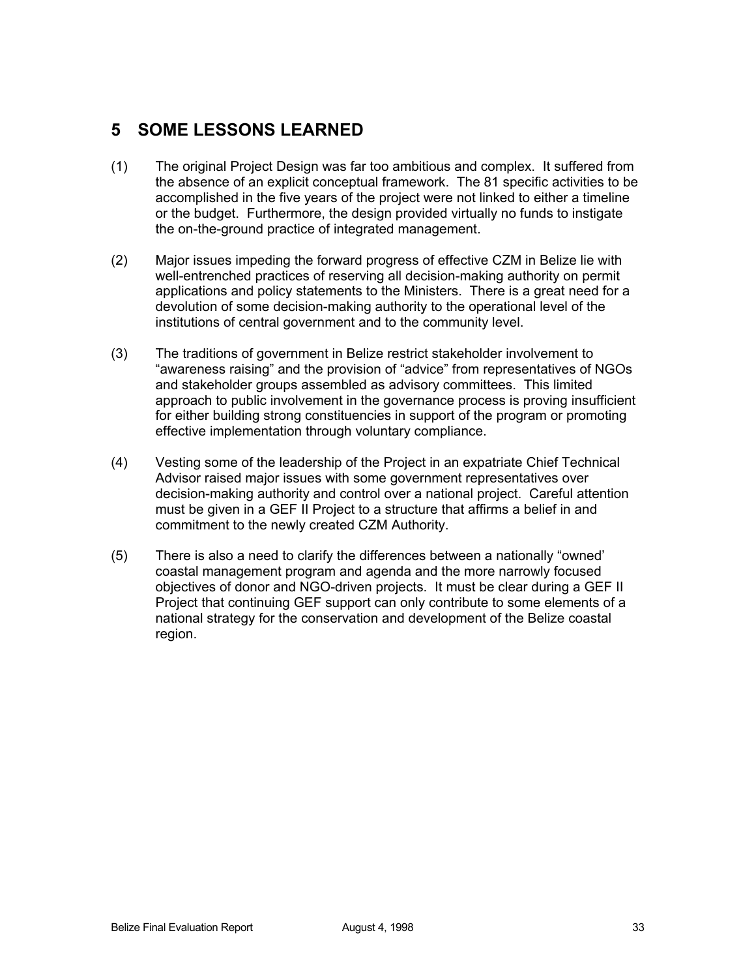# **5 SOME LESSONS LEARNED**

- (1) The original Project Design was far too ambitious and complex. It suffered from the absence of an explicit conceptual framework. The 81 specific activities to be accomplished in the five years of the project were not linked to either a timeline or the budget. Furthermore, the design provided virtually no funds to instigate the on-the-ground practice of integrated management.
- (2) Major issues impeding the forward progress of effective CZM in Belize lie with well-entrenched practices of reserving all decision-making authority on permit applications and policy statements to the Ministers. There is a great need for a devolution of some decision-making authority to the operational level of the institutions of central government and to the community level.
- (3) The traditions of government in Belize restrict stakeholder involvement to "awareness raising" and the provision of "advice" from representatives of NGOs and stakeholder groups assembled as advisory committees. This limited approach to public involvement in the governance process is proving insufficient for either building strong constituencies in support of the program or promoting effective implementation through voluntary compliance.
- (4) Vesting some of the leadership of the Project in an expatriate Chief Technical Advisor raised major issues with some government representatives over decision-making authority and control over a national project. Careful attention must be given in a GEF II Project to a structure that affirms a belief in and commitment to the newly created CZM Authority.
- (5) There is also a need to clarify the differences between a nationally "owned' coastal management program and agenda and the more narrowly focused objectives of donor and NGO-driven projects. It must be clear during a GEF II Project that continuing GEF support can only contribute to some elements of a national strategy for the conservation and development of the Belize coastal region.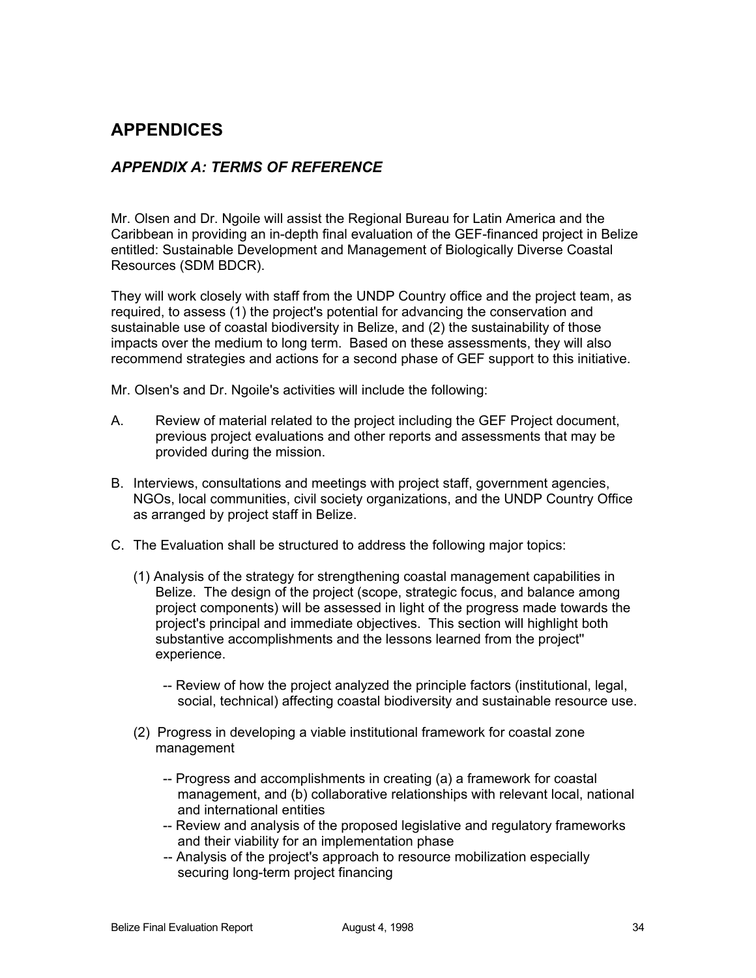# **APPENDICES**

# *APPENDIX A: TERMS OF REFERENCE*

Mr. Olsen and Dr. Ngoile will assist the Regional Bureau for Latin America and the Caribbean in providing an in-depth final evaluation of the GEF-financed project in Belize entitled: Sustainable Development and Management of Biologically Diverse Coastal Resources (SDM BDCR).

They will work closely with staff from the UNDP Country office and the project team, as required, to assess (1) the project's potential for advancing the conservation and sustainable use of coastal biodiversity in Belize, and (2) the sustainability of those impacts over the medium to long term. Based on these assessments, they will also recommend strategies and actions for a second phase of GEF support to this initiative.

Mr. Olsen's and Dr. Ngoile's activities will include the following:

- A. Review of material related to the project including the GEF Project document, previous project evaluations and other reports and assessments that may be provided during the mission.
- B. Interviews, consultations and meetings with project staff, government agencies, NGOs, local communities, civil society organizations, and the UNDP Country Office as arranged by project staff in Belize.
- C. The Evaluation shall be structured to address the following major topics:
	- (1) Analysis of the strategy for strengthening coastal management capabilities in Belize. The design of the project (scope, strategic focus, and balance among project components) will be assessed in light of the progress made towards the project's principal and immediate objectives. This section will highlight both substantive accomplishments and the lessons learned from the project'' experience.
		- -- Review of how the project analyzed the principle factors (institutional, legal, social, technical) affecting coastal biodiversity and sustainable resource use.
	- (2) Progress in developing a viable institutional framework for coastal zone management
		- -- Progress and accomplishments in creating (a) a framework for coastal management, and (b) collaborative relationships with relevant local, national and international entities
		- -- Review and analysis of the proposed legislative and regulatory frameworks and their viability for an implementation phase
		- -- Analysis of the project's approach to resource mobilization especially securing long-term project financing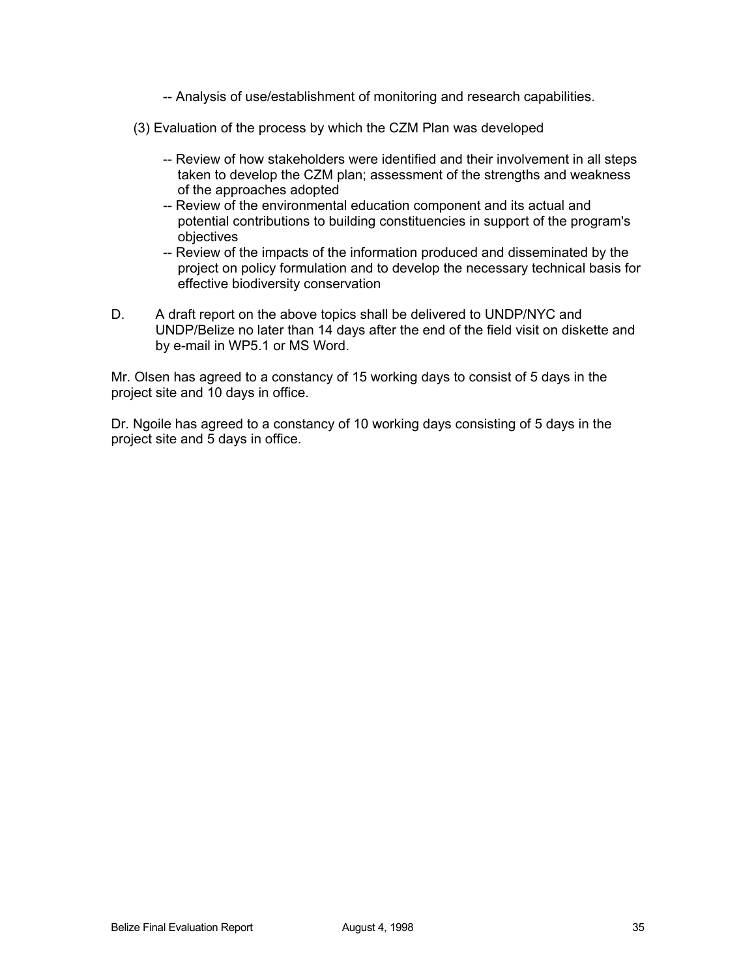- -- Analysis of use/establishment of monitoring and research capabilities.
- (3) Evaluation of the process by which the CZM Plan was developed
	- -- Review of how stakeholders were identified and their involvement in all steps taken to develop the CZM plan; assessment of the strengths and weakness of the approaches adopted
	- -- Review of the environmental education component and its actual and potential contributions to building constituencies in support of the program's objectives
	- -- Review of the impacts of the information produced and disseminated by the project on policy formulation and to develop the necessary technical basis for effective biodiversity conservation
- D. A draft report on the above topics shall be delivered to UNDP/NYC and UNDP/Belize no later than 14 days after the end of the field visit on diskette and by e-mail in WP5.1 or MS Word.

Mr. Olsen has agreed to a constancy of 15 working days to consist of 5 days in the project site and 10 days in office.

Dr. Ngoile has agreed to a constancy of 10 working days consisting of 5 days in the project site and 5 days in office.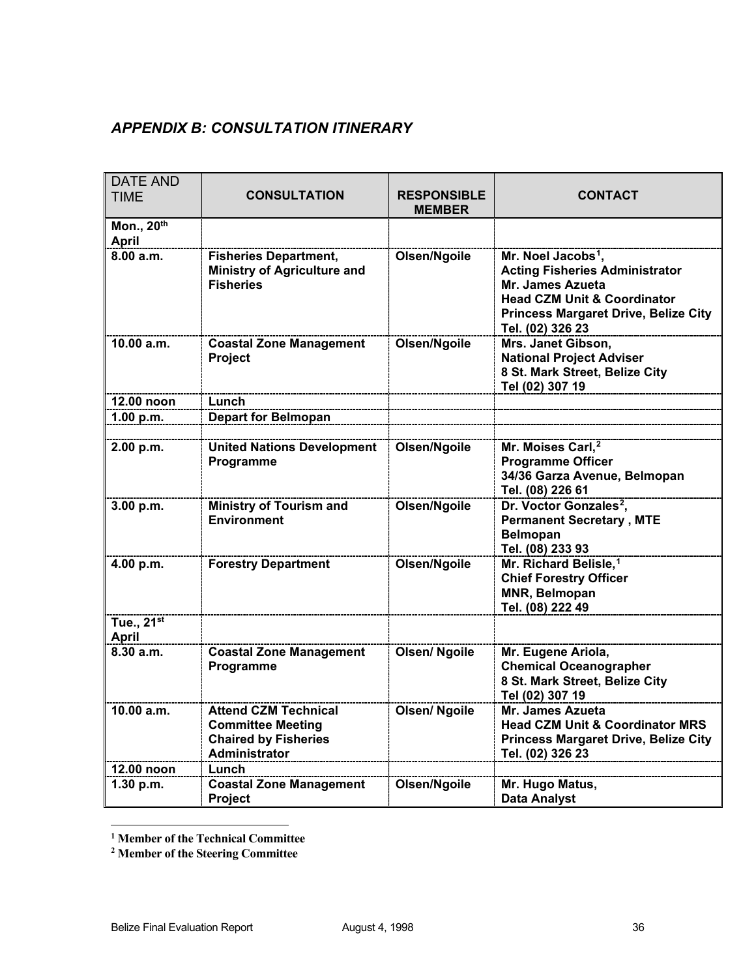# *APPENDIX B: CONSULTATION ITINERARY*

| <b>DATE AND</b><br><b>TIME</b>         | <b>CONSULTATION</b>                                                                                            | <b>RESPONSIBLE</b><br><b>MEMBER</b> | <b>CONTACT</b>                                                                                                                                                                                           |
|----------------------------------------|----------------------------------------------------------------------------------------------------------------|-------------------------------------|----------------------------------------------------------------------------------------------------------------------------------------------------------------------------------------------------------|
| Mon., 20th<br><b>April</b>             |                                                                                                                |                                     |                                                                                                                                                                                                          |
| 8.00 a.m.                              | <b>Fisheries Department,</b><br><b>Ministry of Agriculture and</b><br><b>Fisheries</b>                         | Olsen/Ngoile                        | Mr. Noel Jacobs <sup>1</sup> ,<br><b>Acting Fisheries Administrator</b><br>Mr. James Azueta<br><b>Head CZM Unit &amp; Coordinator</b><br><b>Princess Margaret Drive, Belize City</b><br>Tel. (02) 326 23 |
| 10.00 a.m.                             | <b>Coastal Zone Management</b><br>Project                                                                      | Olsen/Ngoile                        | Mrs. Janet Gibson,<br><b>National Project Adviser</b><br>8 St. Mark Street, Belize City<br>Tel (02) 307 19                                                                                               |
| 12.00 noon                             | Lunch                                                                                                          |                                     |                                                                                                                                                                                                          |
| 1.00 p.m.                              | <b>Depart for Belmopan</b>                                                                                     |                                     |                                                                                                                                                                                                          |
|                                        |                                                                                                                |                                     |                                                                                                                                                                                                          |
| 2.00 p.m.                              | <b>United Nations Development</b><br>Programme                                                                 | Olsen/Ngoile                        | Mr. Moises Carl, <sup>2</sup><br><b>Programme Officer</b><br>34/36 Garza Avenue, Belmopan<br>Tel. (08) 226 61                                                                                            |
| 3.00 p.m.                              | <b>Ministry of Tourism and</b><br>Environment                                                                  | Olsen/Ngoile                        | Dr. Voctor Gonzales <sup>2</sup> ,<br><b>Permanent Secretary, MTE</b><br><b>Belmopan</b><br>Tel. (08) 233 93                                                                                             |
| 4.00 p.m.                              | <b>Forestry Department</b>                                                                                     | Olsen/Ngoile                        | Mr. Richard Belisle, <sup>1</sup><br><b>Chief Forestry Officer</b><br><b>MNR, Belmopan</b><br>Tel. (08) 222 49                                                                                           |
| Tue., 21 <sup>st</sup><br><b>April</b> |                                                                                                                |                                     |                                                                                                                                                                                                          |
| 8.30 a.m.                              | <b>Coastal Zone Management</b><br>Programme                                                                    | <b>Olsen/ Ngoile</b>                | Mr. Eugene Ariola,<br><b>Chemical Oceanographer</b><br>8 St. Mark Street, Belize City<br>Tel (02) 307 19                                                                                                 |
| 10.00 a.m.                             | <b>Attend CZM Technical</b><br><b>Committee Meeting</b><br><b>Chaired by Fisheries</b><br><b>Administrator</b> | <b>Olsen/ Ngoile</b>                | <b>Mr. James Azueta</b><br><b>Head CZM Unit &amp; Coordinator MRS</b><br><b>Princess Margaret Drive, Belize City</b><br>Tel. (02) 326 23                                                                 |
| 12.00 noon                             | Lunch                                                                                                          |                                     |                                                                                                                                                                                                          |
| 1.30 p.m.                              | <b>Coastal Zone Management</b><br>Project                                                                      | Olsen/Ngoile                        | Mr. Hugo Matus,<br><b>Data Analyst</b>                                                                                                                                                                   |

<span id="page-35-0"></span> $\ddot{\phantom{a}}$ **<sup>1</sup> Member of the Technical Committee**

<span id="page-35-3"></span><span id="page-35-2"></span><span id="page-35-1"></span>**<sup>2</sup> Member of the Steering Committee**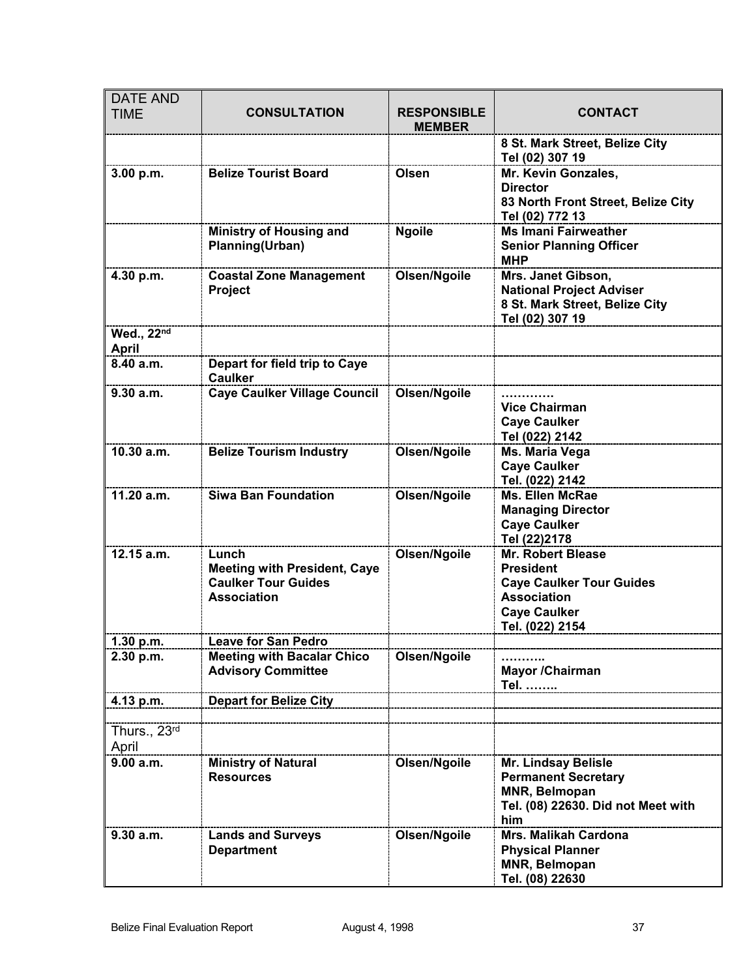| <b>DATE AND</b><br><b>TIME</b> | <b>CONSULTATION</b>                                                                              | <b>RESPONSIBLE</b><br><b>MEMBER</b> | <b>CONTACT</b>                                                                                                                           |
|--------------------------------|--------------------------------------------------------------------------------------------------|-------------------------------------|------------------------------------------------------------------------------------------------------------------------------------------|
|                                |                                                                                                  |                                     | 8 St. Mark Street, Belize City<br>Tel (02) 307 19                                                                                        |
| 3.00 p.m.                      | <b>Belize Tourist Board</b>                                                                      | Olsen                               | Mr. Kevin Gonzales,<br><b>Director</b><br>83 North Front Street, Belize City<br>Tel (02) 772 13                                          |
|                                | <b>Ministry of Housing and</b><br>Planning(Urban)                                                | <b>Ngoile</b>                       | <b>Ms Imani Fairweather</b><br><b>Senior Planning Officer</b><br><b>MHP</b>                                                              |
| 4.30 p.m.                      | <b>Coastal Zone Management</b><br>Project                                                        | Olsen/Ngoile                        | Mrs. Janet Gibson,<br><b>National Project Adviser</b><br>8 St. Mark Street, Belize City<br>Tel (02) 307 19                               |
| Wed., 22nd<br><b>April</b>     |                                                                                                  |                                     |                                                                                                                                          |
| 8.40 a.m.                      | Depart for field trip to Caye<br><b>Caulker</b>                                                  |                                     |                                                                                                                                          |
| 9.30 a.m.                      | <b>Caye Caulker Village Council</b>                                                              | Olsen/Ngoile                        | <b>Vice Chairman</b><br><b>Caye Caulker</b><br>Tel (022) 2142                                                                            |
| 10.30 a.m.                     | <b>Belize Tourism Industry</b>                                                                   | Olsen/Ngoile                        | Ms. Maria Vega<br><b>Caye Caulker</b><br>Tel. (022) 2142                                                                                 |
| 11.20 a.m.                     | <b>Siwa Ban Foundation</b>                                                                       | Olsen/Ngoile                        | <b>Ms. Ellen McRae</b><br><b>Managing Director</b><br><b>Caye Caulker</b><br>Tel (22)2178                                                |
| $12.15$ a.m.                   | Lunch<br><b>Meeting with President, Caye</b><br><b>Caulker Tour Guides</b><br><b>Association</b> | Olsen/Ngoile                        | Mr. Robert Blease<br><b>President</b><br><b>Caye Caulker Tour Guides</b><br><b>Association</b><br><b>Caye Caulker</b><br>Tel. (022) 2154 |
| 1.30 p.m.                      | <b>Leave for San Pedro</b>                                                                       |                                     |                                                                                                                                          |
| 2.30 p.m.                      | <b>Meeting with Bacalar Chico</b><br><b>Advisory Committee</b>                                   | Olsen/Ngoile                        | Mayor / Chairman<br>Tel.                                                                                                                 |
| 4.13 p.m.                      | <b>Depart for Belize City</b>                                                                    |                                     |                                                                                                                                          |
| Thurs., 23rd<br>April          |                                                                                                  |                                     |                                                                                                                                          |
| 9.00 a.m.                      | <b>Ministry of Natural</b><br><b>Resources</b>                                                   | Olsen/Ngoile                        | <b>Mr. Lindsay Belisle</b><br><b>Permanent Secretary</b><br>MNR, Belmopan<br>Tel. (08) 22630. Did not Meet with<br>him                   |
| 9.30 a.m.                      | <b>Lands and Surveys</b><br><b>Department</b>                                                    | Olsen/Ngoile                        | <b>Mrs. Malikah Cardona</b><br><b>Physical Planner</b><br><b>MNR, Belmopan</b><br>Tel. (08) 22630                                        |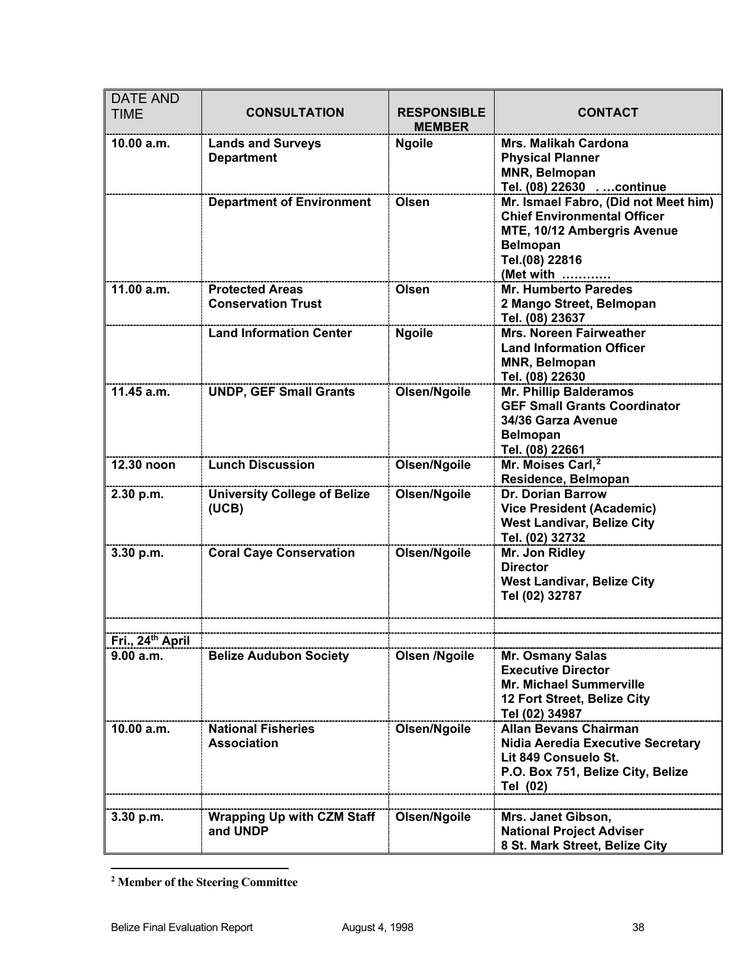| <b>DATE AND</b><br><b>TIME</b> | <b>CONSULTATION</b>                                 | <b>RESPONSIBLE</b><br><b>MEMBER</b> | <b>CONTACT</b>                                                                                                                                              |
|--------------------------------|-----------------------------------------------------|-------------------------------------|-------------------------------------------------------------------------------------------------------------------------------------------------------------|
| 10.00 a.m.                     | <b>Lands and Surveys</b><br><b>Department</b>       | <b>Ngoile</b>                       | <b>Mrs. Malikah Cardona</b><br><b>Physical Planner</b><br><b>MNR, Belmopan</b><br>Tel. (08) 22630  continue                                                 |
|                                | <b>Department of Environment</b>                    | Olsen                               | Mr. Ismael Fabro, (Did not Meet him)<br><b>Chief Environmental Officer</b><br>MTE, 10/12 Ambergris Avenue<br><b>Belmopan</b><br>Tel.(08) 22816<br>(Met with |
| 11.00 a.m.                     | <b>Protected Areas</b><br><b>Conservation Trust</b> | Olsen                               | <b>Mr. Humberto Paredes</b><br>2 Mango Street, Belmopan<br>Tel. (08) 23637                                                                                  |
|                                | <b>Land Information Center</b>                      | <b>Ngoile</b>                       | <b>Mrs. Noreen Fairweather</b><br><b>Land Information Officer</b><br><b>MNR, Belmopan</b><br>Tel. (08) 22630                                                |
| 11.45 a.m.                     | <b>UNDP, GEF Small Grants</b>                       | Olsen/Ngoile                        | <b>Mr. Phillip Balderamos</b><br><b>GEF Small Grants Coordinator</b><br>34/36 Garza Avenue<br><b>Belmopan</b><br>Tel. (08) 22661                            |
| 12.30 noon                     | <b>Lunch Discussion</b>                             | Olsen/Ngoile                        | Mr. Moises Carl, <sup>2</sup><br>Residence, Belmopan                                                                                                        |
| 2.30 p.m.                      | <b>University College of Belize</b><br>(UCB)        | Olsen/Ngoile                        | <b>Dr. Dorian Barrow</b><br><b>Vice President (Academic)</b><br><b>West Landivar, Belize City</b><br>Tel. (02) 32732                                        |
| 3.30 p.m.                      | <b>Coral Caye Conservation</b>                      | Olsen/Ngoile                        | Mr. Jon Ridley<br><b>Director</b><br><b>West Landivar, Belize City</b><br>Tel (02) 32787                                                                    |
| Fri., 24th April               |                                                     |                                     |                                                                                                                                                             |
| 9.00 a.m.                      | <b>Belize Audubon Society</b>                       | Olsen /Ngoile                       | Mr. Osmany Salas<br><b>Executive Director</b><br><b>Mr. Michael Summerville</b><br>12 Fort Street, Belize City<br>Tel (02) 34987                            |
| 10.00 a.m.                     | <b>National Fisheries</b><br><b>Association</b>     | Olsen/Ngoile                        | <b>Allan Bevans Chairman</b><br>Nidia Aeredia Executive Secretary<br>Lit 849 Consuelo St.<br>P.O. Box 751, Belize City, Belize<br>Tel (02)                  |
| 3.30 p.m.                      | <b>Wrapping Up with CZM Staff</b>                   | Olsen/Ngoile                        | Mrs. Janet Gibson,                                                                                                                                          |
|                                | and UNDP                                            |                                     | <b>National Project Adviser</b><br>8 St. Mark Street, Belize City                                                                                           |

<span id="page-37-0"></span> $\ddot{\phantom{a}}$ **<sup>2</sup> Member of the Steering Committee**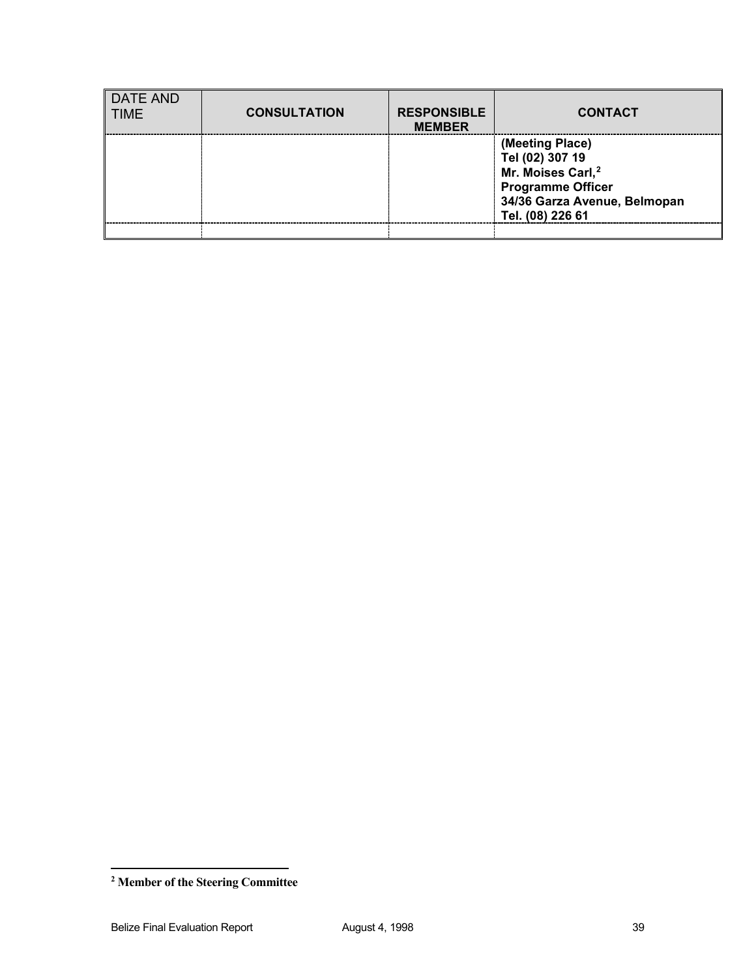| <b>DATE AND</b><br><b>TIME</b> | <b>CONSULTATION</b> | <b>RESPONSIBLE</b><br><b>MEMBER</b> | <b>CONTACT</b>                                                                                                                                      |
|--------------------------------|---------------------|-------------------------------------|-----------------------------------------------------------------------------------------------------------------------------------------------------|
|                                |                     |                                     | (Meeting Place)<br>Tel (02) 307 19<br>Mr. Moises Carl, <sup>2</sup><br><b>Programme Officer</b><br>34/36 Garza Avenue, Belmopan<br>Tel. (08) 226 61 |
|                                |                     |                                     |                                                                                                                                                     |

 $\ddot{\phantom{a}}$ 

<span id="page-38-0"></span>**<sup>2</sup> Member of the Steering Committee**